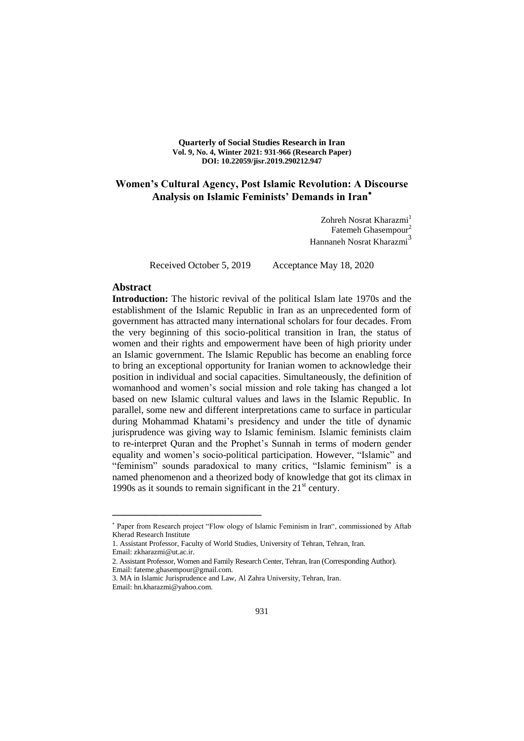**Quarterly of Social Studies Research in Iran Vol. 9, No. 4, Winter 2021: 931-966 (Research Paper) DOI: 10.22059/jisr.2019.290212.947**

# **Women's Cultural Agency, Post Islamic Revolution: A Discourse Analysis on Islamic Feminists' Demands in Iran**

Zohreh Nosrat Kharazmi<sup>1</sup> Fatemeh Ghasempour<sup>2</sup> Hannaneh Nosrat Kharazmi<sup>3</sup>

Received October 5, 2019 Acceptance May 18, 2020

#### **Abstract**

**Introduction:** The historic revival of the political Islam late 1970s and the establishment of the Islamic Republic in Iran as an unprecedented form of government has attracted many international scholars for four decades. From the very beginning of this socio-political transition in Iran, the status of women and their rights and empowerment have been of high priority under an Islamic government. The Islamic Republic has become an enabling force to bring an exceptional opportunity for Iranian women to acknowledge their position in individual and social capacities. Simultaneously, the definition of womanhood and women's social mission and role taking has changed a lot based on new Islamic cultural values and laws in the Islamic Republic. In parallel, some new and different interpretations came to surface in particular during Mohammad Khatami's presidency and under the title of dynamic jurisprudence was giving way to Islamic feminism. Islamic feminists claim to re-interpret Quran and the Prophet's Sunnah in terms of modern gender equality and women's socio-political participation. However, "Islamic" and "feminism" sounds paradoxical to many critics, "Islamic feminism" is a named phenomenon and a theorized body of knowledge that got its climax in 1990s as it sounds to remain significant in the  $21<sup>st</sup>$  century.

Email: zkharazmi@ut.ac.ir.

Paper from Research project "Flow ology of Islamic Feminism in Iran", commissioned by Aftab Kherad Research Institute

<sup>1.</sup> Assistant Professor, Faculty of World Studies, University of Tehran, Tehran, Iran.

<sup>2.</sup> Assistant Professor, Women and Family Research Center, Tehran, Iran (Corresponding Author). Email: fateme.ghasempour@gmail.com.

<sup>3.</sup> MA in Islamic Jurisprudence and Law, Al Zahra University, Tehran, Iran. Email: hn.kharazmi@yahoo.com.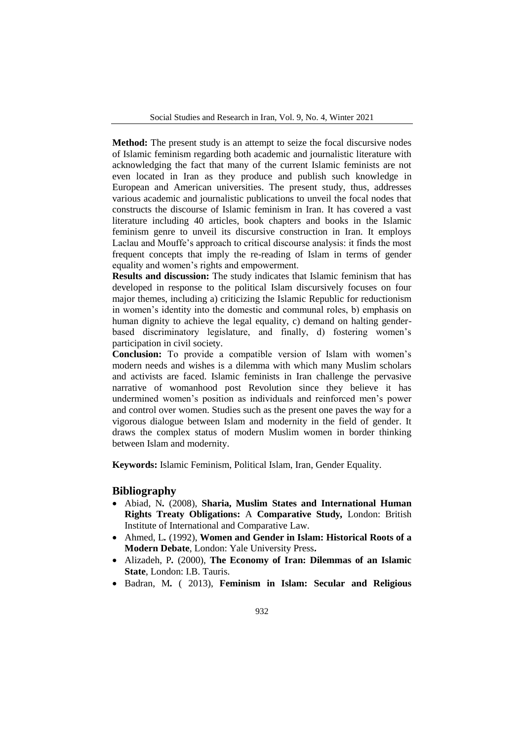Social Studies and Research in Iran, Vol. 9, No. 4, Winter 2021

**Method:** The present study is an attempt to seize the focal discursive nodes of Islamic feminism regarding both academic and journalistic literature with acknowledging the fact that many of the current Islamic feminists are not even located in Iran as they produce and publish such knowledge in European and American universities. The present study, thus, addresses various academic and journalistic publications to unveil the focal nodes that constructs the discourse of Islamic feminism in Iran. It has covered a vast literature including 40 articles, book chapters and books in the Islamic feminism genre to unveil its discursive construction in Iran. It employs Laclau and Mouffe's approach to critical discourse analysis: it finds the most frequent concepts that imply the re-reading of Islam in terms of gender equality and women's rights and empowerment.

**Results and discussion:** The study indicates that Islamic feminism that has developed in response to the political Islam discursively focuses on four major themes, including a) criticizing the Islamic Republic for reductionism in women's identity into the domestic and communal roles, b) emphasis on human dignity to achieve the legal equality, c) demand on halting genderbased discriminatory legislature, and finally, d) fostering women's participation in civil society.

**Conclusion:** To provide a compatible version of Islam with women's modern needs and wishes is a dilemma with which many Muslim scholars and activists are faced. Islamic feminists in Iran challenge the pervasive narrative of womanhood post Revolution since they believe it has undermined women's position as individuals and reinforced men's power and control over women. Studies such as the present one paves the way for a vigorous dialogue between Islam and modernity in the field of gender. It draws the complex status of modern Muslim women in border thinking between Islam and modernity.

**Keywords:** Islamic Feminism, Political Islam, Iran, Gender Equality.

#### **Bibliography**

- Abiad, N*.* (2008), **Sharia, Muslim States and International Human Rights Treaty Obligations:** A **Comparative Study***,* London: British Institute of International and Comparative Law.
- Ahmed, L*.* (1992), **Women and Gender in Islam: Historical Roots of a Modern Debate**, London: Yale University Press**.**
- Alizadeh, P*.* (2000), **The Economy of Iran: Dilemmas of an Islamic State**, London: I.B. Tauris.
- Badran, M*.* ( 2013), **Feminism in Islam: Secular and Religious**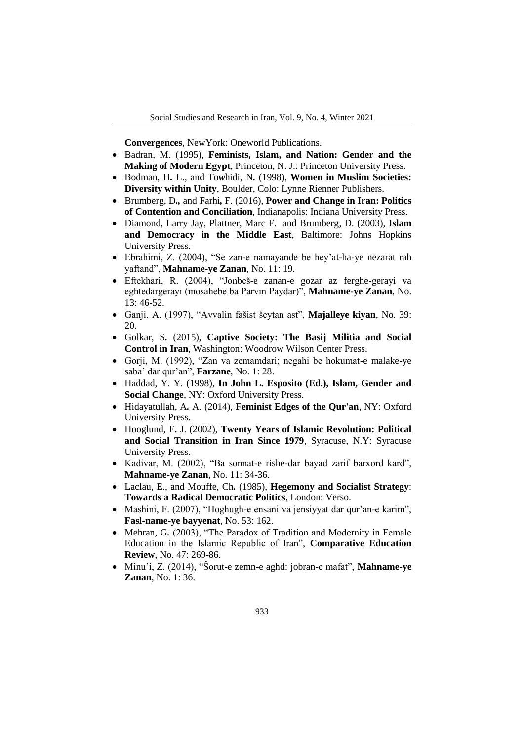**Convergences**, NewYork: Oneworld Publications.

- Badran, M. (1995), **Feminists, Islam, and Nation: Gender and the Making of Modern Egypt**, Princeton, N. J.: Princeton University Press.
- Bodman, H*.* L.*,* and To*w*hidi, N*.* (1998), **Women in Muslim Societies: Diversity within Unity**, Boulder, Colo: Lynne Rienner Publishers.
- Brumberg, D*.,* and Farhi*,* F. (2016), **Power and Change in Iran: Politics of Contention and Conciliation**, Indianapolis: Indiana University Press.
- Diamond, Larry Jay, Plattner, Marc F. and Brumberg, D. (2003), **Islam and Democracy in the Middle East**, Baltimore: Johns Hopkins University Press.
- Ebrahimi, Z. (2004), "Se zan-e namayande be hey'at-ha-ye nezarat rah yaftand", **Mahname-ye Zanan**, No. 11: 19.
- Eftekhari, R. (2004), "Jonbeš-e zanan-e gozar az ferghe-gerayi va eghtedargerayi (mosahebe ba Parvin Paydar)", Mahname-ye Zanan, No. 13: 46-52.
- Ganji, A. 1997 , "Avvalin fašist šeytan ast", **Majalleye kiyan**, No. 39: 20.
- Golkar, S*.* (2015), **Captive Society: The Basij Militia and Social Control in Iran**, Washington: Woodrow Wilson Center Press.
- Gorji, M. (1992), "Zan va zemamdari; negahi be hokumat-e malake-ye saba' dar qur'an", **Farzane**, No. 1: 28.
- Haddad, Y. Y. (1998), **In John L. Esposito (Ed.), Islam, Gender and Social Change**, NY: Oxford University Press.
- Hidayatullah, A*.* A. (2014), **Feminist Edges of the Qur'an**, NY: Oxford University Press.
- Hooglund, E*.* J. (2002), **Twenty Years of Islamic Revolution: Political and Social Transition in Iran Since 1979**, Syracuse, N.Y: Syracuse University Press.
- Kadivar, M. (2002), "Ba sonnat-e rishe-dar bayad zarif barxord kard", **Mahname-ye Zanan**, No. 11: 34-36.
- Laclau, E., and Mouffe, Ch*.* (1985), **Hegemony and Socialist Strategy**: **Towards a Radical Democratic Politics**, London: Verso.
- Mashini, F. (2007), "Hoghugh-e ensani va jensiyyat dar qur'an-e karim", **Fasl-name-ye bayyenat**, No. 53: 162.
- Mehran, G. (2003), "The Paradox of Tradition and Modernity in Female Education in the Islamic Republic of Iran", **Comparative Education Review**, No. 47: 269-86.
- Minu'i, Z. (2014), "Sorut-e zemn-e aghd: jobran-e mafat", **Mahname-ye Zanan**, No. 1: 36.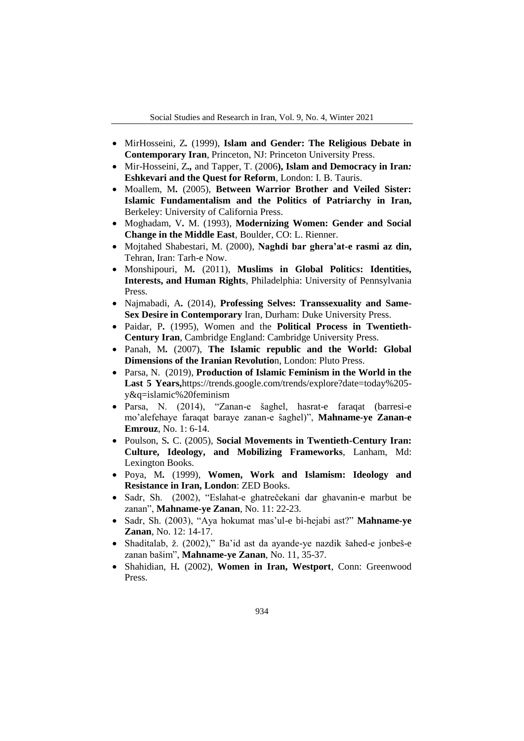- MirHosseini, Z*.* (1999), **Islam and Gender: The Religious Debate in Contemporary Iran**, Princeton, NJ: Princeton University Press.
- Mir-Hosseini, Z*.,* and Tapper, T. (2006**), Islam and Democracy in Iran***:*  **Eshkevari and the Quest for Reform**, London: I. B. Tauris.
- Moallem, M*.* (2005), **Between Warrior Brother and Veiled Sister: Islamic Fundamentalism and the Politics of Patriarchy in Iran,**  Berkeley: University of California Press.
- Moghadam, V*.* M. (1993), **Modernizing Women: Gender and Social Change in the Middle East**, Boulder, CO: L. Rienner.
- Mojtahed Shabestari, M. (2000), **Naghdi bar ghera'at-e rasmi az din,** Tehran, Iran: Tarh-e Now.
- Monshipouri, M*.* (2011), **Muslims in Global Politics: Identities, Interests, and Human Rights**, Philadelphia: University of Pennsylvania Press.
- Najmabadi, A*.* (2014), **Professing Selves: Transsexuality and Same-Sex Desire in Contemporary** Iran, Durham: Duke University Press.
- Paidar, P*.* (1995), Women and the **Political Process in Twentieth-Century Iran**, Cambridge England: Cambridge University Press.
- Panah, M*.* (2007), **The Islamic republic and the World: Global Dimensions of the Iranian Revolutio**n, London: Pluto Press.
- Parsa, N. (2019), **Production of Islamic Feminism in the World in the Last 5 Years,**https://trends.google.com/trends/explore?date=today%205 y&q=islamic%20feminism
- Parsa, N. (2014), "Zanan-e šaghel, hasrat-e faraqat (barresi-e mo'alefehaye faraqat baraye zanan-e saghel)", Mahname-ye Zanan-e **Emrouz**, No. 1: 6-14.
- Poulson, S*.* C. (2005), **Social Movements in Twentieth-Century Iran: Culture, Ideology, and Mobilizing Frameworks**, Lanham, Md: Lexington Books.
- Poya, M*.* (1999), **Women, Work and Islamism: Ideology and Resistance in Iran, London**: ZED Books.
- Sadr, Sh. (2002), "Eslahat-e ghatrečekani dar ghavanin-e marbut be zanan", **Mahname-ye Zanan**, No. 11: 22-23.
- Sadr, Sh. (2003), "Aya hokumat mas'ul-e bi-hejabi ast?" Mahname-ye **Zanan**, No. 12: 14-17.
- Shaditalab, ž. (2002)," Ba'id ast da ayande-ye nazdik šahed-e jonbeš-e zanan bašim", **Mahname-ye Zanan**, No. 11, 35-37.
- Shahidian, H*.* (2002), **Women in Iran, Westport**, Conn: Greenwood Press.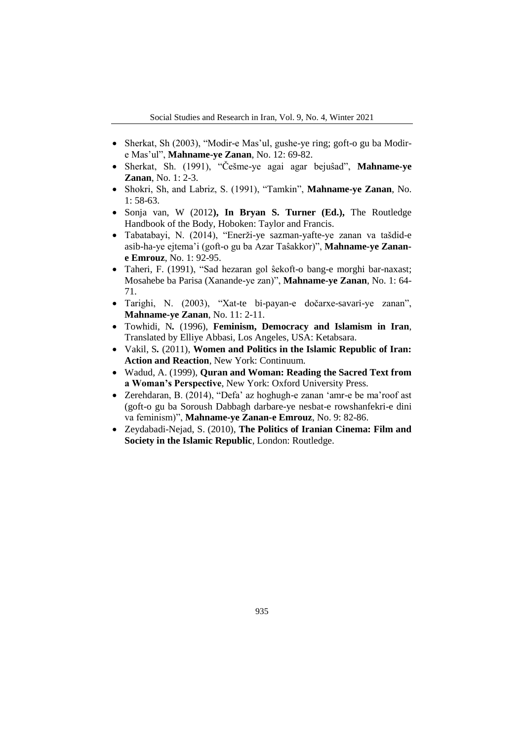- Sherkat, Sh (2003), "Modir-e Mas'ul, gushe-ye ring; goft-o gu ba Modire Mas'ul", **Mahname-ye Zanan**, No. 12: 69-82.
- Sherkat, Sh. (1991), "Češme-ye agai agar bejuŝad", Mahname-ye **Zanan**, No. 1: 2-3.
- Shokri, Sh, and Labriz, S. (1991), "Tamkin", **Mahname-ye Zanan**, No. 1: 58-63.
- Sonja van, W (2012**), In Bryan S. Turner (Ed.),** The Routledge Handbook of the Body, Hoboken: Taylor and Francis.
- Tabatabayi, N. (2014), "Enerži-ye sazman-yafte-ye zanan va tašdid-e asib-ha-ye ejtema'i (goft-o gu ba Azar Taŝakkor)", **Mahname-ye Zanane Emrouz**, No. 1: 92-95.
- Taheri, F. (1991), "Sad hezaran gol ŝekoft-o bang-e morghi bar-naxast; Mosahebe ba Parisa (Xanande-ye zan ", **Mahname-ye Zanan**, No. 1: 64- 71.
- Tarighi, N. (2003), "Xat-te bi-payan-e dočarxe-savari-ye zanan", **Mahname-ye Zanan**, No. 11: 2-11.
- Towhidi, N*.* (1996), **Feminism, Democracy and Islamism in Iran**, Translated by Elliye Abbasi, Los Angeles, USA: Ketabsara.
- Vakil, S*.* (2011), **Women and Politics in the Islamic Republic of Iran: Action and Reaction**, New York: Continuum.
- Wadud, A. (1999), **Quran and Woman: Reading the Sacred Text from a Woman's Perspective**, New York: Oxford University Press.
- Zerehdaran, B. (2014), "Defa' az hoghugh-e zanan 'amr-e be ma'roof ast (goft-o gu ba Soroush Dabbagh darbare-ye nesbat-e rowshanfekri-e dini va feminism)", Mahname-ye Zanan-e Emrouz, No. 9: 82-86.
- Zeydabadi-Nejad, S. (2010), **The Politics of Iranian Cinema: Film and Society in the Islamic Republic**, London: Routledge.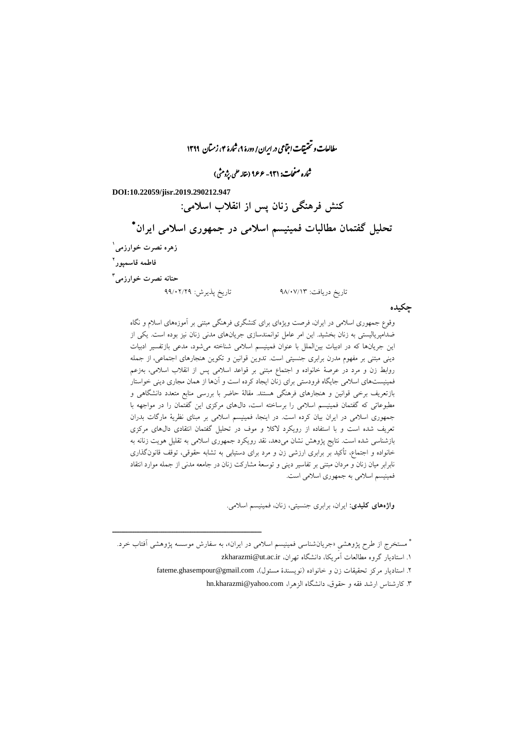مطالعات و تحقیقات اجتماعی در ایران/ دورۀ ۹، شارۀ ۴، زمتان ۱۳۹۹

نماره صفحات: ۹۳۱- ۱۶۶۶ (مقاله علمی بپژومثی)

**DOI:10.22059/jisr.2019.290212.947**

**کنش فرهنگی زنان پس از انقالب اسالمی:**

 **تحلیل گفتمان مطالبات فمینیسم اسالمی در جمهوری اسالمی ایران 1 زهره نصرت خوارزمی 2 فاطمه قاسمپور 3 حنانه نصرت خوارزمی** تاریخ دریافت: 02/99/13 تاریخ پذیرش: 00/90/00

**چکیده**

وقوع جمهوری اسالمی در ایران، فرصت ویژهای برای کنشگری فرهنگی مبتنی بر آموزههای اسالم و نگاه ضدامپریالیستی به زنان بخشید. این امر عامل توانمندسازی جریانهای مدنی زنان نیز بوده است. یکی از این جریانها که در ادبیات بینالملل با عنوان فمینیسم اسالمی شناخته میشود، مدعی بازتفسیر ادبیات دینی مبتنی بر مفهوم مدرن برابری جنسیتی است. تدوین قوانین و تکوین هنجارهای اجتماعی، از جمله روابط زن و مرد در عرصة خانواده و اجتماع مبتنی بر قواعد اسالمی پس از انقالب اسالمی، بهزعم فمینیستهای اسالمی جایگاه فرودستی برای زنان ایجاد کرده است و آنها از همان مجاری دینی خواستار بازتعریف برخی قوانین و هنجارهای فرهنگی هستند. مقالة حاضر با بررسی منابع متعدد دانشگاهی و مطبوعاتی که گفتمان فمینیسم اسالمی را برساخته است، دالهای مرکزی این گفتمان را در مواجهه با جمهوری اسالمی در ایران بیان کرده است. در اینجا، فمینیسم اسالمی بر مبنای نظریة مارگات بدران تعریف شده است و با استفاده از رویکرد الکال و موف در تحلیل گفتمان انتقادی دالهای مرکزی بازشناسی شده است. نتایج پژوهش نشان میدهد، نقد رویکرد جمهوری اسالمی به تقلیل هویت زنانه به خانواده و اجتماع، تأکید بر برابری ارزشی زن و مرد برای دستیابی به تشابه حقوقی، توقف قانونگذاری نابرابر میان زنان و مردان مبتنی بر تفاسیر دینی و توسعة مشارکت زنان در جامعه مدنی از جمله موارد انتقاد فمینیسم اسالمی به جمهوری اسالمی است.

**واژههای کلیدی:** ایران، برابری جنسیتی، زنان، فمینیسم اسالمی.

\* مستخرج از طرح پژوهشیِ «جریانشناسی فمینیسم اسلامی در ایران»، به سفارش موسسه پژوهشی آفتاب خرد. 1. استادیار گروه مطالعات آمریکا، دانشگاه تهران، zkharazmi@ut.ac.ir ۲. استادیار مرکز تحقیقات زن و خانواده (نویسندهٔ مسئول)، fateme.ghasempour@gmail.com

ــــــــــــــــــــــــــــــــــــــــــــــــــــــــــــــــــــــــــــــــــــــــــــــــــــــــــــــــــــــــــــــــــــــــــــــــ

.3 کارشناس ارشد فقه و حقوق، دانشگاه الزهرا، com.yahoo@kharazmi.hn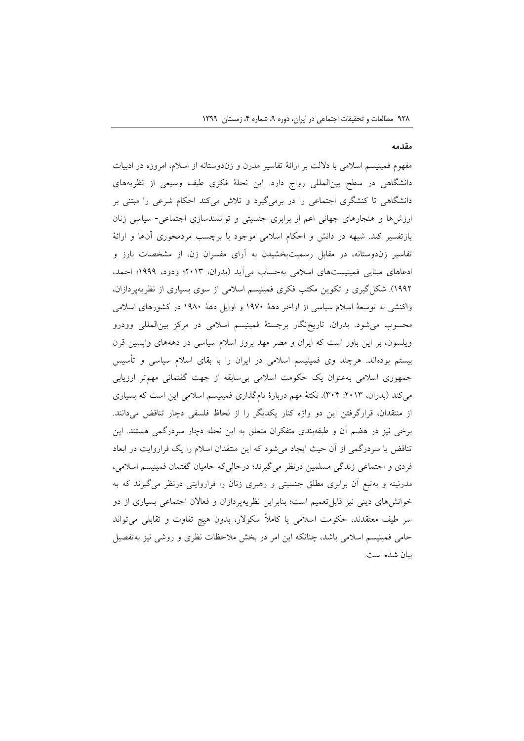#### **مقدمه**

مفهوم فمینیسم اسالمی با داللت بر ارائة تفاسیر مدرن و زندوستانه از اسالم، امروزه در ادبیات دانشگاهی در سطح بینالمللی رواج دارد. این نحلة فکری طیف وسیعی از نظریههای دانشگاهی تا کنشگری اجتماعی را در برمیگیرد و تالش میکند احکام شرعی را مبتنی بر ارزشها و هنجارهای جهانی اعم از برابری جنسیتی و توانمندسازی اجتماعی- سیاسی زنان بازتفسیر کند. شبهه در دانش و احکام اسالمی موجود با برچسب مردمحوری آنها و ارائة تفاسیر زندوستانه، در مقابل رسمیتبخشیدن به آرای مفسران زن، از مشخصات بارز و ادعاهای مبنایی فمینیستهای اسالمی بهحساب میآید )بدران، 0913؛ ودود، 1000؛ احمد، 1000(. شکلگیری و تکوین مکتب فکری فمینیسم اسالمی از سوی بسیاری از نظریهپردازان، واکنشی به توسعة اسالم سیاسی از اواخر دهة 1099 و اوایل دهة 1029 در کشورهای اسالمی محسوب میشود. بدران، تاریخنگار برجستة فمینیسم اسالمی در مرکز بینالمللی وودرو ویلسون، بر این باور است که ایران و مصر مهد بروز اسالم سیاسی در دهههای واپسین قرن بیستم بودهاند. هرچند وی فمینیسم اسالمی در ایران را با بقای اسالم سیاسی و تأسیس جمهوری اسالمی بهعنوان یک حکومت اسالمی بیسابقه از جهت گفتمانی مهمتر ارزیابی میکند (بدران، ۲۰۱۳: ۳۰۴). نکتهٔ مهم دربارهٔ نامگذاری فمینیسم اسلامی این است که بسیاری از منتقدان، قرارگرفتن این دو واژه کنار یکدیگر را از لحاظ فلسفی دچار تناقض میدانند. برخی نیز در هضم آن و طبقهبندی متفکران متعلق به این نحله دچار سردرگمی هستند. این تناقض یا سردرگمی از آن حیث ایجاد میشود که این منتقدان اسالم را یک فراروایت در ابعاد فردی و اجتماعی زندگی مسلمین درنظر میگیرند؛ درحالیکه حامیان گفتمان فمینیسم اسالمی، مدرنیته و بهتبع آن برابری مطلق جنسیتی و رهبری زنان را فراروایتی درنظر میگیرند که به خوانشهای دینی نیز قابلتعمیم است؛ بنابراین نظریهپردازان و فعاالن اجتماعی بسیاری از دو سر طیف معتقدند، حکومت اسالمی یا کامالً سکوالر، بدون هیچ تفاوت و تقابلی میتواند حامی فمینیسم اسالمی باشد، چنانکه این امر در بخش مالحظات نظری و روشی نیز بهتفصیل بیان شده است.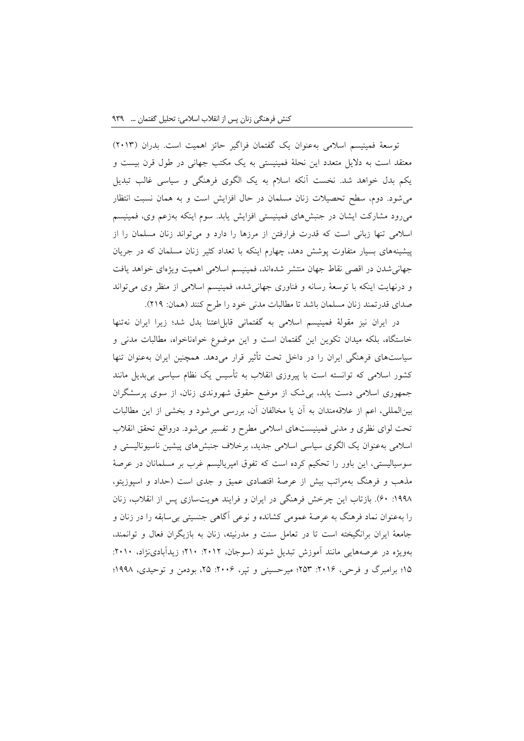توسعة فمینیسم اسالمی بهعنوان یک گفتمان فراگیر حائز اهمیت است. بدران )0913( معتقد است به دالیل متعدد این نحلة فمینیستی به یک مکتب جهانی در طول قرن بیست و یکم بدل خواهد شد. نخست آنکه اسالم به یک الگوی فرهنگی و سیاسی غالب تبدیل میشود. دوم، سطح تحصیالت زنان مسلمان در حال افزایش است و به همان نسبت انتظار میرود مشارکت ایشان در جنبشهای فمینیستی افزایش یابد. سوم اینکه بهزعم وی، فمینیسم اسالمی تنها زبانی است که قدرت فرارفتن از مرزها را دارد و میتواند زنان مسلمان را از پیشینههای بسیار متفاوت پوشش دهد، چهارم اینکه با تعداد کثیر زنان مسلمان که در جریان جهانیشدن در اقصی نقاط جهان منتشر شدهاند، فمینیسم اسالمی اهمیت ویژهای خواهد یافت و درنهایت اینکه با توسعة رسانه و فناوری جهانیشده، فمینیسم اسالمی از منظر وی میتواند صدای قدرتمند زنان مسلمان باشد تا مطالبات مدنی خود را طرح کنند )همان: 010(.

در ایران نیز مقولة فمینیسم اسالمی به گفتمانی قابلاعتنا بدل شد؛ زیرا ایران نهتنها خاستگاه، بلکه میدان تکوین این گفتمان است و این موضوع خواهناخواه، مطالبات مدنی و سیاستهای فرهنگی ایران را در داخل تحت تأثیر قرار میدهد. همچنین ایران بهعنوان تنها کشور اسالمی که توانسته است با پیروزی انقالب به تأسیس یک نظام سیاسی بیبدیل مانند جمهوری اسالمی دست یابد، بیشک از موضع حقوق شهروندی زنان، از سوی پرسشگران بینالمللی، اعم از عالقهمندان به آن یا مخالفان آن، بررسی میشود و بخشی از این مطالبات تحت لوای نظری و مدنی فمینیستهای اسالمی مطرح و تفسیر میشود. درواقع تحقق انقالب اسالمی بهعنوان یک الگوی سیاسی اسالمی جدید، برخالف جنبشهای پیشین ناسیونالیستی و سوسیالیستی، این باور را تحکیم کرده است که تفوق امپریالیسم غرب بر مسلمانان در عرصة مذهب و فرهنگ بهمراتب بیش از عرصة اقتصادی عمیق و جدی است )حداد و اسپوزیتو، :1002 09(. بازتاب این چرخش فرهنگی در ایران و فرایند هویتسازی پس از انقالب، زنان را بهعنوان نماد فرهنگ به عرصة عمومی کشانده و نوعی آگاهی جنسیتی بیسابقه را در زنان و جامعة ایران برانگیخته است تا در تعامل سنت و مدرنیته، زنان به بازیگران فعال و توانمند، بهویژه در عرصههایی مانند آموزش تبدیل شوند )سوجان، :0910 019؛ زیدآبادینژاد، :0919 ۱۵؛ برامبرگ و فرحی، ۲۰۱۶: ۲۵۳؛ میرحسینی و تپر، ۲۰۰۶: ۲۵، بودمن و توحیدی، ۱۹۹۸؛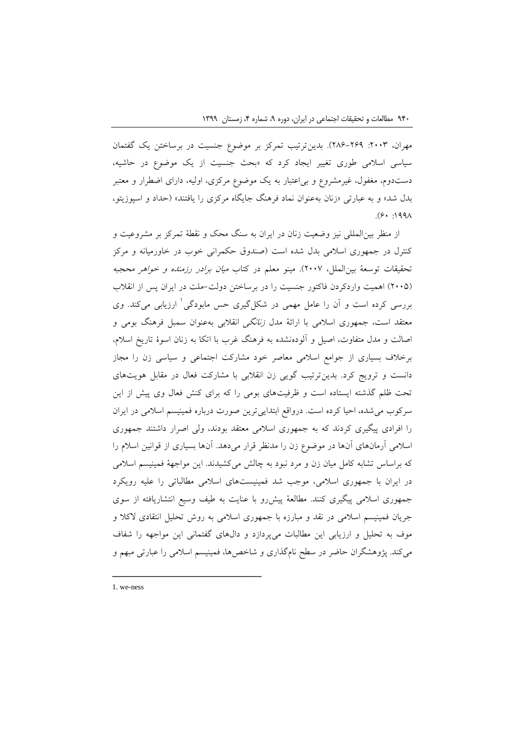مهران، ۲۰۰۳: ۲۹۹–۲۸۶). بدینترتیب تمرکز بر موضوع جنسیت در برساختن یک گفتمان سیاسی اسالمی طوری تغییر ایجاد کرد که »بحث جنسیت از یک موضوع در حاشیه، دستدوم، مغفول، غیرمشروع و بیاعتبار به یک موضوع مرکزی، اولیه، دارای اضطرار و معتبر بدل شد» و به عبارتی «زنان بهعنوان نماد فرهنگ جایگاه مرکزی را یافتند» (حداد و اسپوزیتو،  $(9 \cdot 199)$ 

از منظر بینالمللی نیز وضعیت زنان در ایران به سنگ محک و نقطة تمرکز بر مشروعیت و کنترل در جمهوری اسالمی بدل شده است )صندوق حکمرانی خوب در خاورمیانه و مرکز تحقیقات توسعهٔ بین|لملل، ۲۰۰۷). مینو معلم در کتاب *میان برادر رزمنده و خواهر محجبه* )0992( اهمیت واردکردن فاکتور جنسیت را در برساختن دولت-ملت در ایران پس از انقالب 1 بررسی کرده است و آن را عامل مهمی در شکلگیری حس مابودگی ارزیابی میکند. وی معتقد است، جمهوری اسلامی با ارائهٔ مدل *زنانگی* انقلابی بهعنوان سمبل فرهنگ بومی و اصالت و مدل متفاوت، اصیل و آلودهنشده به فرهنگ غرب با اتکا به زنان اسوة تاریخ اسالم، برخالف بسیاری از جوامع اسالمی معاصر خود مشارکت اجتماعی و سیاسی زن را مجاز دانست و ترویج کرد. بدینترتیب گویی زن انقالبی با مشارکت فعال در مقابل هویتهای تحت ظلم گذشته ایستاده است و ظرفیتهای بومی را که برای کنش فعال وی پیش از این سرکوب میشده، احیا کرده است. درواقع ابتداییترین صورت درباره فمینیسم اسالمی در ایران را افرادی پیگیری کردند که به جمهوری اسالمی معتقد بودند، ولی اصرار داشتند جمهوری اسالمی آرمانهای آنها در موضوع زن را مدنظر قرار میدهد. آنها بسیاری از قوانین اسالم را که براساس تشابه کامل میان زن و مرد نبود به چالش میکشیدند. این مواجهة فمینیسم اسالمی در ایران با جمهوری اسالمی، موجب شد فمینیستهای اسالمی مطالباتی را علیه رویکرد جمهوری اسالمی پیگیری کنند. مطالعة پیشرو با عنایت به طیف وسیع انتشاریافته از سوی جریان فمینیسم اسالمی در نقد و مبارزه با جمهوری اسالمی به روش تحلیل انتقادی الکال و موف به تحلیل و ارزیابی این مطالبات میپردازد و دالهای گفتمانی این مواجهه را شفاف میکند. پژوهشگران حاضر در سطح نامگذاری و شاخصها، فمینیسم اسالمی را عبارتی مبهم و

1. we-ness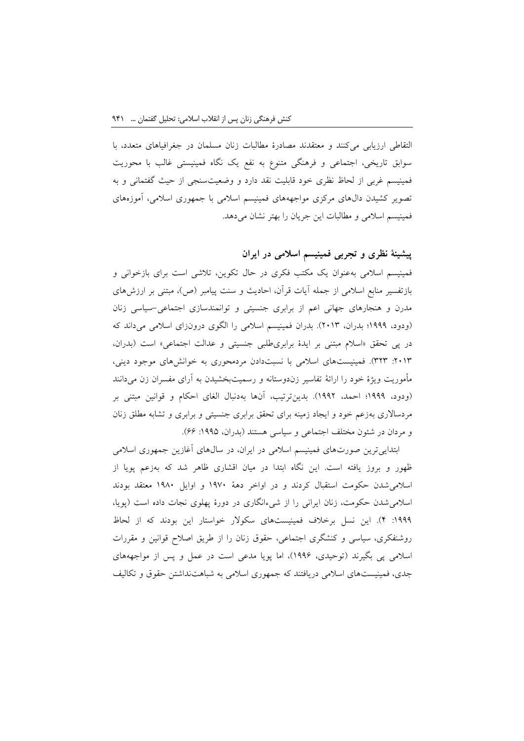التقاطی ارزیابی میکنند و معتقدند مصادرة مطالبات زنان مسلمان در جغرافیاهای متعدد، با سوابق تاریخی، اجتماعی و فرهنگی متنوع به نفع یک نگاه فمینیستی غالب با محوریت فمینیسم غربی از لحاظ نظری خود قابلیت نقد دارد و وضعیتسنجی از حیث گفتمانی و به تصویر کشیدن دالهای مرکزی مواجهههای فمینیسم اسالمی با جمهوری اسالمی، آموزههای فمینیسم اسلامی و مطالبات این جریان را بهتر نشان می دهد.

**پیشینة نظری و تجربی فمینیسم اسالمی در ایران**

فمینیسم اسالمی بهعنوان یک مکتب فکری در حال تکوین، تالشی است برای بازخوانی و بازتفسیر منابع اسلامی از جمله آیات قرآن، احادیث و سنت پیامبر (ص)، مبتنی بر ارزشهای مدرن و هنجارهای جهانی اعم از برابری جنسیتی و توانمندسازی اجتماعی-سیاسی زنان )ودود، 1000؛ بدران، 0913(. بدران فمینیسم اسالمی را الگوی درونزای اسالمی میداند که در پی تحقق «اسلام مبتنی بر ایدهٔ برابریطلبی جنسیتی و عدالت اجتماعی» است (بدران، :0913 303(. فمینیستهای اسالمی با نسبتدادن مردمحوری به خوانشهای موجود دینی، مأموریت ویژة خود را ارائة تفاسیر زندوستانه و رسمیتبخشیدن به آرای مفسران زن میدانند )ودود، 1000؛ احمد، 1000(. بدینترتیب، آنها بهدنبال الغای احکام و قوانین مبتنی بر مردساالری بهزعم خود و ایجاد زمینه برای تحقق برابری جنسیتی و برابری و تشابه مطلق زنان و مردان در شئون مختلف اجتماعی و سیاسی هستند (بدران، ۱۹۹۵: ۶۶).

ابتداییترین صورتهای فمینیسم اسالمی در ایران، در سالهای آغازین جمهوری اسالمی ظهور و بروز یافته است. این نگاه ابتدا در میان اقشاری ظاهر شد که بهزعم پویا از اسالمیشدن حکومت استقبال کردند و در اواخر دهة 1099 و اوایل 1029 معتقد بودند اسالمیشدن حکومت، زنان ایرانی را از شیءانگاری در دورة پهلوی نجات داده است )پویا، :1000 1(. این نسل برخالف فمینیستهای سکوالر خواستار این بودند که از لحاظ روشنفکری، سیاسی و کنشگری اجتماعی، حقوق زنان را از طریق اصالح قوانین و مقررات اسالمی پی بگیرند )توحیدی، 1000(، اما پویا مدعی است در عمل و پس از مواجهههای جدی، فمینیستهای اسالمی دریافتند که جمهوری اسالمی به شباهتنداشتن حقوق و تکالیف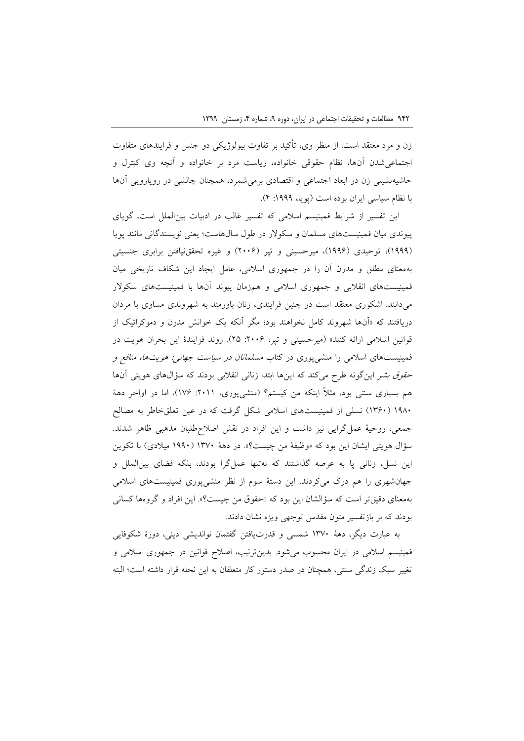زن و مرد معتقد است. از منظر وی، تأکید بر تفاوت بیولوژیکی دو جنس و فرایندهای متفاوت اجتماعیشدن آنها، نظام حقوقی خانواده، ریاست مرد بر خانواده و آنچه وی کنترل و حاشیهنشینی زن در ابعاد اجتماعی و اقتصادی برمیشمرد، همچنان چالشی در رویارویی آنها با نظام سیاسی ایران بوده است (پویا، ۱۹۹۹: ۴).

این تفسیر از شرایط فمینیسم اسالمی که تفسیر غالب در ادبیات بینالملل است، گویای پیوندی میان فمینیستهای مسلمان و سکوالر در طول سالهاست؛ یعنی نویسندگانی مانند پویا )1000(، توحیدی )1000(، میرحسینی و تپر )0990( و غیره تحققنیافتن برابری جنسیتی بهمعنای مطلق و مدرن آن را در جمهوری اسالمی، عامل ایجاد این شکاف تاریخی میان فمینیستهای انقالبی و جمهوری اسالمی و همزمان پیوند آنها با فمینیستهای سکوالر میدانند. اشکوری معتقد است در چنین فرایندی، زنان باورمند به شهروندی مساوی با مردان دریافتند که »آنها شهروند کامل نخواهند بود؛ مگر آنکه یک خوانش مدرن و دموکراتیک از قوانین اسلامی ارائه کنند» (میرحسینی و تپر، ٢٠٠۶: ٢۵). روند فزایندهٔ این بحران هویت در فمینیستهای اسالمی را منشیپوری در کتاب مسلمانان در سیاست جهانی: هویتها، منافع <sup>و</sup> حق*وق بشر این گونه طرح می کند که اینها ابتدا زنانی انقلابی بودند که سؤالهای هویتی آنها* هم بسیاری سنتی بود، مثلاً اینکه من کیستم؟ (منشیپوری، ۲۰۱۱: ۱۷۶)، اما در اواخر دههٔ 1029 )1309( نسلی از فمینیستهای اسالمی شکل گرفت که در عین تعلقخاطر به مصالح جمعی، روحیة عملگرایی نیز داشت و این افراد در نقش اصالحطلبان مذهبی ظاهر شدند. سؤال هویتی ایشان این بود که »وظیفة من چیست؟«. در دهة 1399 )1009 میالدی( با تکوین این نسل، زنانی پا به عرصه گذاشتند که نهتنها عملگرا بودند، بلکه فضای بینالملل و جهانشهری را هم درک میکردند. این دستة سوم از نظر منشیپوری فمینیستهای اسالمی بهمعنای دقیقتر است که سؤالشان این بود که »حقوق من چیست؟«. این افراد و گروهها کسانی بودند که بر بازتفسیر متون مقدس توجهی ویژه نشان دادند.

به عبارت دیگر، دهة 1399 شمسی و قدرتیافتن گفتمان نواندیشی دینی، دورة شکوفایی فمینیسم اسالمی در ایران محسوب میشود. بدینترتیب، اصالح قوانین در جمهوری اسالمی و تغییر سبک زندگی سنتی، همچنان در صدر دستور کار متعلقان به این نحله قرار داشته است؛ البته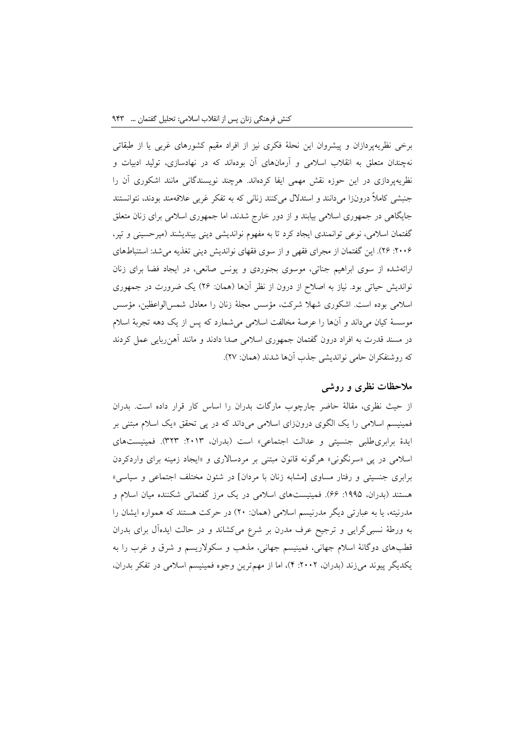برخی نظریهپردازان و پیشروان این نحلة فکری نیز از افراد مقیم کشورهای غربی یا از طبقاتی نهچندان متعلق به انقالب اسالمی و آرمانهای آن بودهاند که در نهادسازی، تولید ادبیات و نظریهپردازی در این حوزه نقش مهمی ایفا کردهاند. هرچند نویسندگانی مانند اشکوری آن را جنبشی کامالً درونزا میدانند و استدالل میکنند زنانی که به تفکر غربی عالقهمند بودند، نتوانستند جایگاهی در جمهوری اسالمی بیابند و از دور خارج شدند، اما جمهوری اسالمی برای زنان متعلق گفتمان اسالمی، نوعی توانمندی ایجاد کرد تا به مفهوم نواندیشی دینی بیندیشند )میرحسینی و تپر، :0990 00(. این گفتمان از مجرای فقهی و از سوی فقهای نواندیش دینی تغذیه میشد: استنباطهای ارائهشده از سوی ابراهیم جناتی، موسوی بجنوردی و یونس صانعی، در ایجاد فضا برای زنان نواندیش حیاتی بود. نیاز به اصلاح از درون از نظر آنها (همان: ۲۶) یک ضرورت در جمهوری اسالمی بوده است. اشکوری شهال شرکت، مؤسس مجلة زنان را معادل شمسالواعظین، مؤسس موسسة کیان میداند و آنها را عرصة مخالفت اسالمی میشمارد که پس از یک دهه تجربة اسالم در مسند قدرت به افراد درون گفتمان جمهوری اسالمی صدا دادند و مانند آهنربایی عمل کردند که روشنفکران حامی نواندیشی جذب آنها شدند )همان: 09(.

# **مالحظات نظری و روشی**

از حیث نظری، مقالة حاضر چارچوب مارگات بدران را اساس کار قرار داده است. بدران فمینیسم اسالمی را یک الگوی درونزای اسالمی میداند که در پی تحقق »یک اسالم مبتنی بر ایدهٔ برابری طلبی جنسیتی و عدالت اجتماعی» است (بدران، ٢٠١٣: ٣٢٣). فمینیستهای اسالمی در پی »سرنگونی« هرگونه قانون مبتنی بر مردساالری و »ایجاد زمینه برای واردکردن برابری جنسیتی و رفتار مساوی [مشابه زنان با مردان] در شئون مختلف اجتماعی و سیاسی» هستند (بدران، ۱۹۹۵: ۶۶). فمینیستهای اسلامی در یک مرز گفتمانی شکننده میان اسلام و مدرنیته، یا به عبارتی دیگر مدرنیسم اسالمی )همان: 09( در حرکت هستند که همواره ایشان را به ورطة نسبیگرایی و ترجیح عرف مدرن بر شرع میکشاند و در حالت ایدهآل برای بدران قطبهای دوگانة اسالم جهانی، فمینیسم جهانی، مذهب و سکوالریسم و شرق و غرب را به یکدیگر پیوند میزند (بدران، ٢٠٠٢: ۴)، اما از مهمترین وجوه فمینیسم اسلامی در تفکر بدران،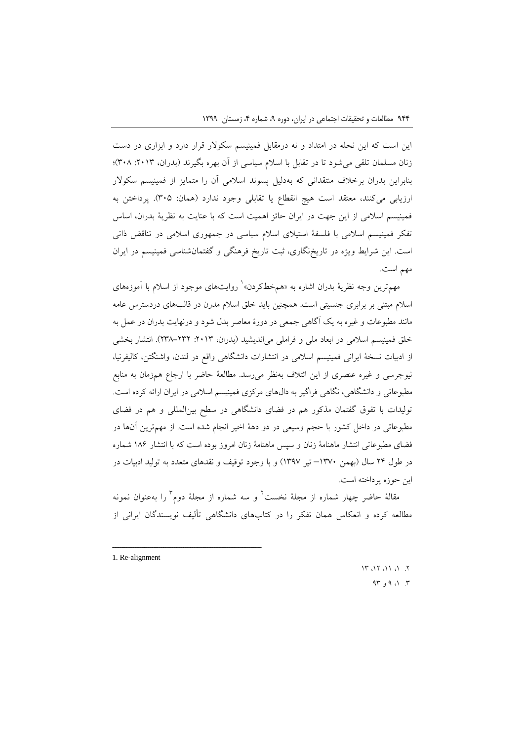این است که این نحله در امتداد و نه درمقابل فمینیسم سکوالر قرار دارد و ابزاری در دست زنان مسلمان تلقی می شود تا در تقابل با اسلام سیاسی از آن بهره بگیرند (بدران، ٢٠١٣: ٣٠٨)؛ بنابراین بدران برخالف منتقدانی که بهدلیل پسوند اسالمی آن را متمایز از فمینیسم سکوالر ارزیابی میکنند، معتقد است هیچ انقطاع یا تقابلی وجود ندارد )همان: 392(. پرداختن به فمینیسم اسالمی از این جهت در ایران حائز اهمیت است که با عنایت به نظریة بدران، اساس تفکر فمینیسم اسالمی با فلسفة استیالی اسالم سیاسی در جمهوری اسالمی در تناقض ذاتی است. این شرایط ویژه در تاریخنگاری، ثبت تاریخ فرهنگی و گفتمانشناسی فمینیسم در ایران مهم است.

مهم ترین وجه نظریهٔ بدران اشاره به «همخطکردن» ٰ روایتهای موجود از اسلام با آموزههای اسالم مبتنی بر برابری جنسیتی است. همچنین باید خلق اسالم مدرن در قالبهای دردسترس عامه مانند مطبوعات و غیره به یک آگاهی جمعی در دورة معاصر بدل شود و درنهایت بدران در عمل به خلق فمینیسم اسلامی در ابعاد ملی و فراملی میاندیشید (بدران، ٢٠١٣ -٢٣٨-٢٣٨). انتشار بخشی از ادبیات نسخة ایرانی فمینیسم اسالمی در انتشارات دانشگاهی واقع در لندن، واشنگتن، کالیفرنیا، نیوجرسی و غیره عنصری از این ائتالف بهنظر میرسد. مطالعة حاضر با ارجاع همزمان به منابع مطبوعاتی و دانشگاهی، نگاهی فراگیر به دالهای مرکزی فمینیسم اسالمی در ایران ارائه کرده است. تولیدات با تفوق گفتمان مذکور هم در فضای دانشگاهی در سطح بینالمللی و هم در فضای مطبوعاتی در داخل کشور با حجم وسیعی در دو دهة اخیر انجام شده است. از مهمترین آنها در فضای مطبوعاتی انتشار ماهنامة زنان و سپس ماهنامة زنان امروز بوده است که با انتشار 120 شماره در طول ۲۴ سال (بهمن ۱۳۷۰– تیر ۱۳۹۷) و با وجود توقیف و نقدهای متعدد به تولید ادبیات در این حوزه پرداخته است.

مقالهٔ حاضر چهار شماره از مجلهٔ نخست ٔ و سه شماره از مجلهٔ دوم ٔ را بهعنوان نمونه مطالعه کرده و انعکاس همان تفکر را در کتابهای دانشگاهی تألیف نویسندگان ایرانی از

ــــــــــــــــــــــــــــــــــــــــــــــــــــــــــــــــــــــــــــــــــــــــــــــــــــــــــــــــــــــــــــــــــــــــــــــــ

 $11.11.11.17$ .  $A \uparrow \circ \circ \circ \circ \circ \circ \circ$ 

<sup>1.</sup> Re-alignment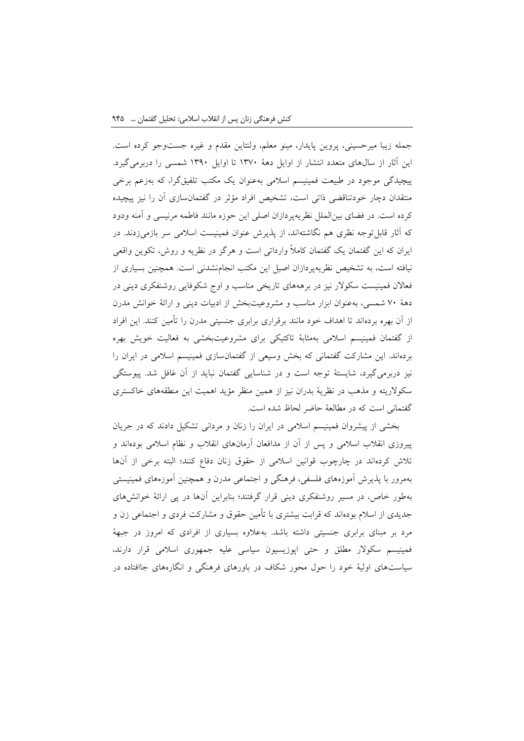جمله زیبا میرحسینی، پروین پایدار، مینو معلم، ولنتاین مقدم و غیره جستوجو کرده است. این آثار از سالهای متعدد انتشار از اوایل دهة 1399 تا اوایل 1309 شمسی را دربرمیگیرد. پیچیدگی موجود در طبیعت فمینیسم اسالمی بهعنوان یک مکتب تلفیقگرا، که بهزعم برخی منتقدان دچار خودتناقضی ذاتی است، تشخیص افراد مؤثر در گفتمانسازی آن را نیز پیچیده کرده است. در فضای بینالملل نظریهپردازان اصلی این حوزه مانند فاطمه مرنیسی و آمنه ودود که آثار قابلتوجه نظری هم نگاشتهاند، از پذیرش عنوان فمینیست اسالمی سر بازمیزدند. در ایران که این گفتمان یک گفتمان کامالً وارداتی است و هرگز در نظریه و روش، تکوین واقعی نیافته است، به تشخیص نظریهپردازان اصیل این مکتب انجامنشدنی است. همچنین بسیاری از فعاالن فمینیست سکوالر نیز در برهههای تاریخی مناسب و اوج شکوفایی روشنفکری دینی در دهة 99 شمسی، بهعنوان ابزار مناسب و مشروعیتبخش از ادبیات دینی و ارائة خوانش مدرن از آن بهره بردهاند تا اهداف خود مانند برقراری برابری جنسیتی مدرن را تأمین کنند. این افراد از گفتمان فمینیسم اسالمی بهمثابة تاکتیکی برای مشروعیتبخشی به فعالیت خویش بهره بردهاند. این مشارکت گفتمانی که بخش وسیعی از گفتمانسازی فمینیسم اسالمی در ایران را نیز دربرمیگیرد، شایستة توجه است و در شناسایی گفتمان نباید از آن غافل شد. پیوستگی سکوالریته و مذهب در نظریة بدران نیز از همین منظر مؤید اهمیت این منطقههای خاکستری گفتمانی است که در مطالعة حاضر لحاظ شده است.

بخشی از پیشروان فمینیسم اسالمی در ایران را زنان و مردانی تشکیل دادند که در جریان پیروزی انقالب اسالمی و پس از آن از مدافعان آرمانهای انقالب و نظام اسالمی بودهاند و تالش کردهاند در چارچوب قوانین اسالمی از حقوق زنان دفاع کنند؛ البته برخی از آنها بهمرور با پذیرش آموزههای فلسفی، فرهنگی و اجتماعی مدرن و همچنین آموزههای فمینیستی بهطور خاص، در مسیر روشنفکری دینی قرار گرفتند؛ بنابراین آنها در پی ارائة خوانشهای جدیدی از اسالم بودهاند که قرابت بیشتری با تأمین حقوق و مشارکت فردی و اجتماعی زن و مرد بر مبنای برابری جنسیتی داشته باشد. بهعالوه بسیاری از افرادی که امروز در جبهة فمینیسم سکوالر مطلق و حتی اپوزیسیون سیاسی علیه جمهوری اسالمی قرار دارند، سیاستهای اولیة خود را حول محور شکاف در باورهای فرهنگی و انگارههای جاافتاده در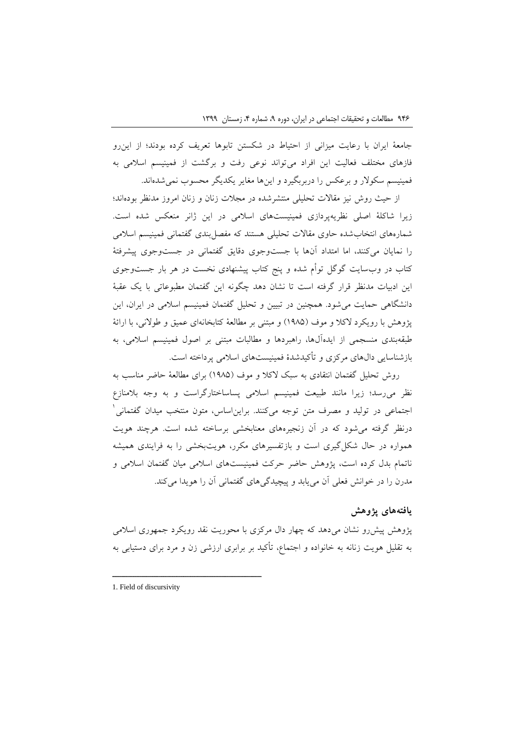جامعة ایران با رعایت میزانی از احتیاط در شکستن تابوها تعریف کرده بودند؛ از اینرو فازهای مختلف فعالیت این افراد میتواند نوعی رفت و برگشت از فمینیسم اسالمی به فمینیسم سکوالر و برعکس را دربربگیرد و اینها مغایر یکدیگر محسوب نمیشدهاند.

از حیث روش نیز مقاالت تحلیلی منتشرشده در مجالت زنان و زنان امروز مدنظر بودهاند؛ زیرا شاکلة اصلی نظریهپردازی فمینیستهای اسالمی در این ژانر منعکس شده است. شمارههای انتخابشده حاوی مقاالت تحلیلی هستند که مفصلبندی گفتمانی فمینیسم اسالمی را نمایان میکنند، اما امتداد آنها با جستوجوی دقایق گفتمانی در جستوجوی پیشرفتة کتاب در وبسایت گوگل توأم شده و پنج کتاب پیشنهادی نخست در هر بار جستوجوی این ادبیات مدنظر قرار گرفته است تا نشان دهد چگونه این گفتمان مطبوعاتی با یک عقبة دانشگاهی حمایت میشود. همچنین در تبیین و تحلیل گفتمان فمینیسم اسالمی در ایران، این پژوهش با رویکرد لاکلا و موف (۱۹۸۵) و مبتنی بر مطالعهٔ کتابخانهای عمیق و طولانی، با ارائهٔ طبقهبندی منسجمی از ایدهآلها، راهبردها و مطالبات مبتنی بر اصول فمینیسم اسالمی، به بازشناسایی دالهای مرکزی و تأکیدشدة فمینیستهای اسالمی پرداخته است.

روش تحلیل گفتمان انتقادی به سبک الکال و موف )1022( برای مطالعة حاضر مناسب به نظر میرسد؛ زیرا مانند طبیعت فمینیسم اسالمی پساساختارگراست و به وجه بالمنازع 1 اجتماعی در تولید و مصرف متن توجه میکنند. برایناساس، متون منتخب میدان گفتمانی درنظر گرفته میشود که در آن زنجیرههای معنابخشی برساخته شده است. هرچند هویت همواره در حال شکلگیری است و بازتفسیرهای مکرر، هویتبخشی را به فرایندی همیشه ناتمام بدل کرده است، پژوهش حاضر حرکت فمینیستهای اسالمی میان گفتمان اسالمی و مدرن را در خوانش فعلی آن مییابد و پیچیدگیهای گفتمانی آن را هویدا میکند.

# **یافتههای پژوهش**

پژوهش پیشرو نشان میدهد که چهار دال مرکزی با محوریت نقد رویکرد جمهوری اسالمی به تقلیل هویت زنانه به خانواده و اجتماع، تأکید بر برابری ارزشی زن و مرد برای دستیابی به

<sup>1.</sup> Field of discursivity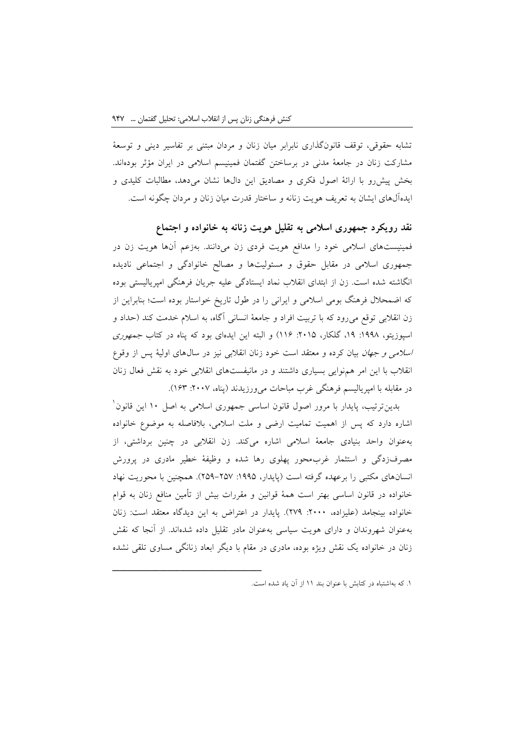تشابه حقوقی، توقف قانونگذاری نابرابر میان زنان و مردان مبتنی بر تفاسیر دینی و توسعة مشارکت زنان در جامعة مدنی در برساختن گفتمان فمینیسم اسالمی در ایران مؤثر بودهاند. بخش پیشرو با ارائة اصول فکری و مصادیق این دالها نشان میدهد، مطالبات کلیدی و ایدهآلهای ایشان به تعریف هویت زنانه و ساختار قدرت میان زنان و مردان چگونه است.

**نقد رویکرد جمهوری اسالمی به تقلیل هویت زنانه به خانواده و اجتماع** فمینیستهای اسالمی خود را مدافع هویت فردی زن میدانند. بهزعم آنها هویت زن در جمهوری اسالمی در مقابل حقوق و مسئولیتها و مصالح خانوادگی و اجتماعی نادیده انگاشته شده است. زن از ابتدای انقالب نماد ایستادگی علیه جریان فرهنگی امپریالیستی بوده که اضمحالل فرهنگ بومی اسالمی و ایرانی را در طول تاریخ خواستار بوده است؛ بنابراین از زن انقالبی توقع میرود که با تربیت افراد و جامعة انسانی آگاه، به اسالم خدمت کند )حداد و اسپوزیتو، ۱۹۹۸: ۱۹، گلکار، ۲۰۱۵: ۱۱۶) و البته این ایدهای بود که پناه در کتاب *جمهوری* اسالمی و جهان بیان کرده و معتقد است خود زنان انقالبی نیز در سالهای اولیة پس از وقوع انقالب با این امر همنوایی بسیاری داشتند و در مانیفستهای انقالبی خود به نقش فعال زنان در مقابله با امپریالیسم فرهنگی غرب مباحات می ورزیدند (پناه، ۲۰۰۷: ۱۶۳).

بدینترتیب، پایدار با مرور اصول قانون اساسی جمهوری اسلامی به اصل ۱۰ این قانون<sup>\</sup> اشاره دارد که پس از اهمیت تمامیت ارضی و ملت اسالمی، بالفاصله به موضوع خانواده بهعنوان واحد بنیادی جامعة اسالمی اشاره میکند. زن انقالبی در چنین برداشتی، از مصرفزدگی و استثمار غربمحور پهلوی رها شده و وظیفة خطیر مادری در پرورش انسانهای مکتبی را برعهده گرفته است (پایدار، ۱۹۹۵: ۲۵۷–۲۵۹). همچنین با محوریت نهاد خانواده در قانون اساسی بهتر است همة قوانین و مقررات بیش از تأمین منافع زنان به قوام خانواده بینجامد (علیزاده، ٢٠٠٠: ٢٧٩). پایدار در اعتراض به این دیدگاه معتقد است: زنان بهعنوان شهروندان و دارای هویت سیاسی بهعنوان مادر تقلیل داده شدهاند. از آنجا که نقش زنان در خانواده یک نقش ویژه بوده، مادری در مقام با دیگر ابعاد زنانگی مساوی تلقی نشده

<sup>.1</sup> که بهاشتباه در کتابش با عنوان بند 11 از آن یاد شده است.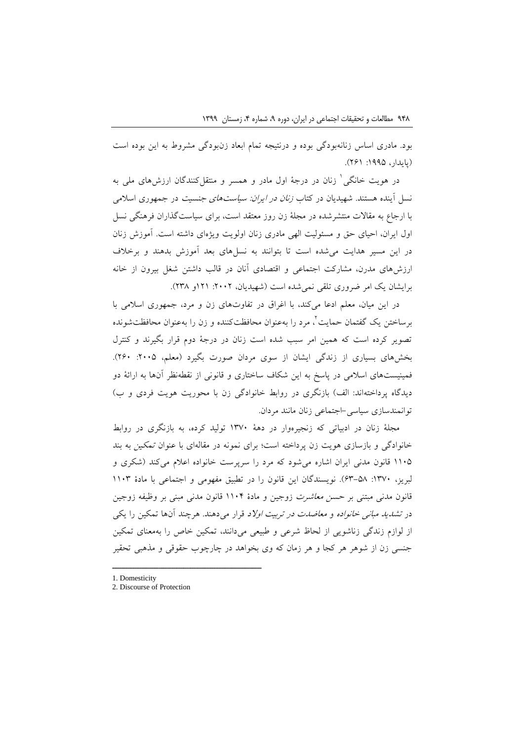بود. مادری اساس زنانهبودگی بوده و درنتیجه تمام ابعاد زنبودگی مشروط به این بوده است (پایدار، ۱۹۹۵: ۲۶۱).

در هویت خانگی' زنان در درجهٔ اول مادر و همسر و منتقلکنندگان ارزشهای ملی به نسل آینده هستند. شهیدیان در کتاب زنان در ایران: سیاستهای جنسیت در جمهوری اسالمی با ارجاع به مقاالت منتشرشده در مجلة زن روز معتقد است، برای سیاستگذاران فرهنگی نسل اول ایران، احیای حق و مسئولیت الهی مادری زنان اولویت ویژهای داشته است. آموزش زنان در این مسیر هدایت میشده است تا بتوانند به نسلهای بعد آموزش بدهند و برخالف ارزشهای مدرن، مشارکت اجتماعی و اقتصادی آنان در قالب داشتن شغل بیرون از خانه برایشان یک امر ضروری تلقی نمی شده است (شهیدیان، ۲۰۰۲: ۲۱۱او ۲۳۸).

در این میان، معلم ادعا میکند، با اغراق در تفاوتهای زن و مرد، جمهوری اسالمی با برساختن یک گفتمان حمایت ٔ، مرد را بهعنوان محافظتکننده و زن را بهعنوان محافظتشونده تصویر کرده است که همین امر سبب شده است زنان در درجة دوم قرار بگیرند و کنترل بخشهای بسیاری از زندگی ایشان از سوی مردان صورت بگیرد (معلم، ۲۰۰۵: ۲۶۰). فمینیستهای اسالمی در پاسخ به این شکاف ساختاری و قانونی از نقطهنظر آنها به ارائة دو دیدگاه پرداختهاند: الف) بازنگری در روابط خانوادگی زن با محوریت هویت فردی و ب) توانمندسازی سیاسی-اجتماعی زنان مانند مردان.

مجلة زنان در ادبیاتی که زنجیرهوار در دهة 1399 تولید کرده، به بازنگری در روابط خانوادگی و بازسازی هویت زن پرداخته است؛ برای نمونه در مقالهای با عنوان تمکین به بند 1192 قانون مدنی ایران اشاره میشود که مرد را سرپرست خانواده اعالم میکند )شکری و لبریز، :1399 03-22(. نویسندگان این قانون را در تطبیق مفهومی و اجتماعی با مادة 1193 قانون مدنی مبتنی بر حسن معاشرت زوجین و مادة 1191 قانون مدنی مبنی بر وظیفه زوجین در تش*دید مبانی خانواده و معاضدت در تربیت اولاد* قرار میدهند. هرچند آنها تمکین را یکی از لوازم زندگی زناشویی از لحاظ شرعی و طبیعی میدانند، تمکین خاص را بهمعنای تمکین جنسی زن از شوهر هر کجا و هر زمان که وی بخواهد در چارچوب حقوقی و مذهبی تحقیر

1. Domesticity

<sup>2.</sup> Discourse of Protection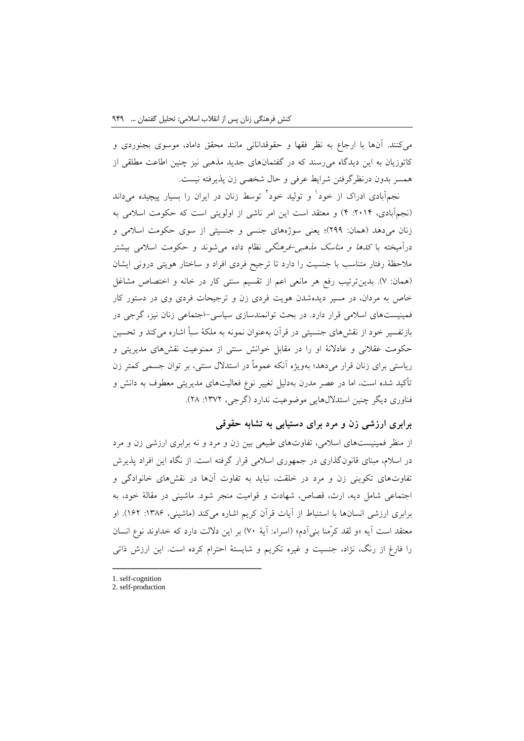میکنند. آنها با ارجاع به نظر فقها و حقوقدانانی مانند محقق داماد، موسوی بجنوردی و کاتوزیان به این دیدگاه میرسند که در گفتمانهای جدید مذهبی نیز چنین اطاعت مطلقی از همسر بدون درنظرگرفتن شرایط عرفی و حال شخصی زن پذیرفته نیست.

نجمهآبادی ادراک از خود<sup>ا</sup> و تولید خود<sup>ا</sup> توسط زنان در ایران را بسیار پیچیده میداند (نجمآبادی، ۲۰۱۴: ۴) و معتقد است این امر ناشی از اولویتی است که حکومت اسلامی به زنان میدهد (همان: ٢٩٩)؛ یعنی سوژههای جنسی و جنسیتی از سوی حکومت اسلامی و درآمیخته با *کدها و مناسک مذهبی-فرهنگی* نظام داده می شوند و حکومت اسلامی بیشتر مالحظة رفتار متناسب با جنسیت را دارد تا ترجیح فردی افراد و ساختار هویتی درونی ایشان )همان: 9(. بدینترتیب رفع هر مانعی اعم از تقسیم سنتی کار در خانه و اختصاص مشاغل خاص به مردان، در مسیر دیدهشدن هویت فردی زن و ترجیحات فردی وی در دستور کار فمینیستهای اسالمی قرار دارد. در بحث توانمندسازی سیاسی–اجتماعی زنان نیز، گرجی در بازتفسیر خود از نقشهای جنسیتی در قرآن بهعنوان نمونه به ملکة سبأ اشاره میکند و تحسین حکومت عقالنی و عادالنة او را در مقابل خوانش سنتی از ممنوعیت نقشهای مدیریتی و ریاستی برای زنان قرار میدهد؛ بهویژه آنکه عموماً در استدالل سنتی، بر توان جسمی کمتر زن تأکید شده است، اما در عصر مدرن بهدلیل تغییر نوع فعالیتهای مدیریتی معطوف به دانش و فناوری دیگر چنین استدلالهایی موضوعیت ندارد (گرجی، ۱۳۷۲: ۲۸).

**برابری ارزشی زن و مرد برای دستیابی به تشابه حقوقی**

از منظر فمینیستهای اسالمی، تفاوتهای طبیعی بین زن و مرد و نه برابری ارزشی زن و مرد در اسالم، مبنای قانونگذاری در جمهوری اسالمی قرار گرفته است. از نگاه این افراد پذیرش تفاوتهای تکوینی زن و مرد در خلقت، نباید به تفاوت آنها در نقشهای خانوادگی و اجتماعی شامل دیه، ارث، قصاص، شهادت و قوامیت منجر شود. ماشینی در مقالة خود، به برابری ارزشی انسانها با استنباط از آیات قرآن کریم اشاره میکند (ماشینی، ۱۳۸۶: ۱۶۲). او معتقد است آیه «و لقد کرّمنا بنی ادم» (اسراء: آیهٔ ۷۰) بر این دلالت دارد که خداوند نوع انسان را فارغ از رنگ، نژاد، جنسیت و غیره تکریم و شایستة احترام کرده است. این ارزش ذاتی

1. self-cognition

<sup>2.</sup> self-production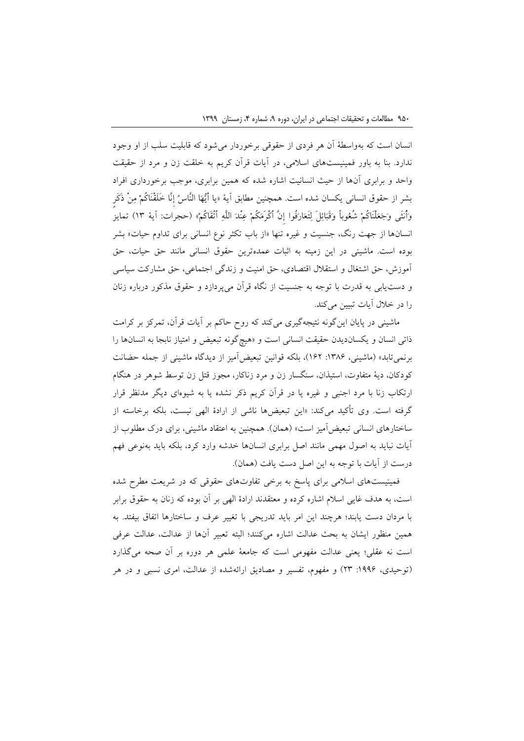انسان است که بهواسطة آن هر فردی از حقوقی برخوردار میشود که قابلیت سلب از او وجود ندارد. بنا به باور فمینیستهای اسالمی، در آیات قرآن کریم به خلقت زن و مرد از حقیقت واحد و برابری آنها از حیث انسانیت اشاره شده که همین برابری، موجب برخورداری افراد بشر از حقوق انسانی یکسان شده است. همچنین مطابق آیة »یا أَیُّهَا النَّاسُ إدنَّا خَلَقْنَاکُمْ مِنْ ذَکَرٍ وَأُنثَی وَجَعَلْنَاکُمْ شُعُوباً وَقَبَائِلَ لِتَعَارَفُوا إدنَّ أَکْرَمَکُمْ عِنْدَ اللَّهِ أَتْقَاکُمْ« )حجرات: آیة 13( تمایز انسانها از جهت رنگ، جنسیت و غیره تنها »از باب تکثر نوع انسانی برای تداوم حیات« بشر بوده است. ماشینی در این زمینه به اثبات عمدهترین حقوق انسانی مانند حق حیات، حق آموزش، حق اشتغال و استقالل اقتصادی، حق امنیت و زندگی اجتماعی، حق مشارکت سیاسی و دستیابی به قدرت با توجه به جنسیت از نگاه قرآن میپردازد و حقوق مذکور درباره زنان را در خالل آیات تبیین میکند.

ماشینی در پایان اینگونه نتیجهگیری میکند که روح حاکم بر آیات قرآن، تمرکز بر کرامت ذاتی انسان و یکساندیدن حقیقت انسانی است و »هیچگونه تبعیض و امتیاز نابجا به انسانها را برنمی تابد» (ماشینی، ۱۳۸۶: ۱۶۲)، بلکه قوانین تبعیضآمیز از دیدگاه ماشینی از جمله حضانت کودکان، دیة متفاوت، استیذان، سنگسار زن و مرد زناکار، مجوز قتل زن توسط شوهر در هنگام ارتکاب زنا با مرد اجنبی و غیره یا در قرآن کریم ذکر نشده یا به شیوهای دیگر مدنظر قرار گرفته است. وی تأکید میکند: »این تبعیضها ناشی از ارادة الهی نیست، بلکه برخاسته از ساختارهای انسانی تبعیض آمیز است» (همان). همچنین به اعتقاد ماشینی، برای درک مطلوب از آیات نباید به اصول مهمی مانند اصل برابری انسانها خدشه وارد کرد، بلکه باید بهنوعی فهم درست از آیات با توجه به این اصل دست یافت (همان).

فمینیستهای اسالمی برای پاسخ به برخی تفاوتهای حقوقی که در شریعت مطرح شده است، به هدف غایی اسالم اشاره کرده و معتقدند ارادة الهی بر آن بوده که زنان به حقوق برابر با مردان دست یابند؛ هرچند این امر باید تدریجی با تغییر عرف و ساختارها اتفاق بیفتد. به همین منظور ایشان به بحث عدالت اشاره میکنند؛ البته تعبیر آنها از عدالت، عدالت عرفی است نه عقلی؛ یعنی عدالت مفهومی است که جامعة علمی هر دوره بر آن صحه میگذارد (توحیدی، ۱۹۹۶: ۲۳) و مفهوم، تفسیر و مصادیق ارائهشده از عدالت، امری نسبی و در هر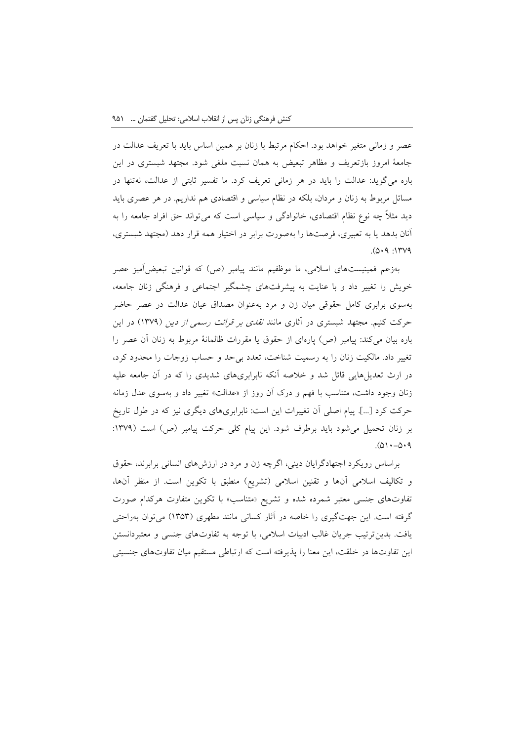عصر و زمانی متغیر خواهد بود. احکام مرتبط با زنان بر همین اساس باید با تعریف عدالت در جامعة امروز بازتعریف و مظاهر تبعیض به همان نسبت ملغی شود. مجتهد شبستری در این باره میگوید: عدالت را باید در هر زمانی تعریف کرد. ما تفسیر ثابتی از عدالت، نهتنها در مسائل مربوط به زنان و مردان، بلکه در نظام سیاسی و اقتصادی هم نداریم. در هر عصری باید دید مثالً چه نوع نظام اقتصادی، خانوادگی و سیاسی است که میتواند حق افراد جامعه را به آنان بدهد یا به تعبیری، فرصتها را بهصورت برابر در اختیار همه قرار دهد )مجتهد شبستری،  $.004$ : 1599

بهزعم فمینیستهای اسالمی، ما موظفیم مانند پیامبر )ص( که قوانین تبعیضآمیز عصر خویش را تغییر داد و با عنایت به پیشرفتهای چشمگیر اجتماعی و فرهنگی زنان جامعه، بهسوی برابری کامل حقوقی میان زن و مرد بهعنوان مصداق عیان عدالت در عصر حاضر حرکت کنیم. مجتهد شبستری در آثاری مانند *نقدی بر قرائت رسمی از دین* (۱۳۷۹) در این باره بیان میکند: پیامبر (ص) پارهای از حقوق یا مقررات ظالمانهٔ مربوط به زنان آن عصر را تغییر داد. مالکیت زنان را به رسمیت شناخت، تعدد بیحد و حساب زوجات را محدود کرد، در ارث تعدیلهایی قائل شد و خالصه آنکه نابرابریهای شدیدی را که در آن جامعه علیه زنان وجود داشت، متناسب با فهم و درک آن روز از «عدالت» تغییر داد و بهسوی عدل زمانه حرکت کرد ]...[. پیام اصلی آن تغییرات این است: نابرابریهای دیگری نیز که در طول تاریخ بر زنان تحمیل می شود باید برطرف شود. این پیام کلی حرکت پیامبر (ص) است (۱۳۷۹:  $.001 - 0.9$ 

براساس رویکرد اجتهادگرایان دینی، اگرچه زن و مرد در ارزشهای انسانی برابرند، حقوق و تکالیف اسلامی أنها و تقنین اسلامی (تشریع) منطبق با تکوین است. از منظر أنها، تفاوتهای جنسی معتبر شمرده شده و تشریع »متناسب« با تکوین متفاوت هرکدام صورت گرفته است. این جهتگیری را خاصه در آثار کسانی مانند مطهری )1323( میتوان بهراحتی یافت. بدینترتیب جریان غالب ادبیات اسالمی، با توجه به تفاوتهای جنسی و معتبردانستن این تفاوتها در خلقت، این معنا را پذیرفته است که ارتباطی مستقیم میان تفاوتهای جنسیتی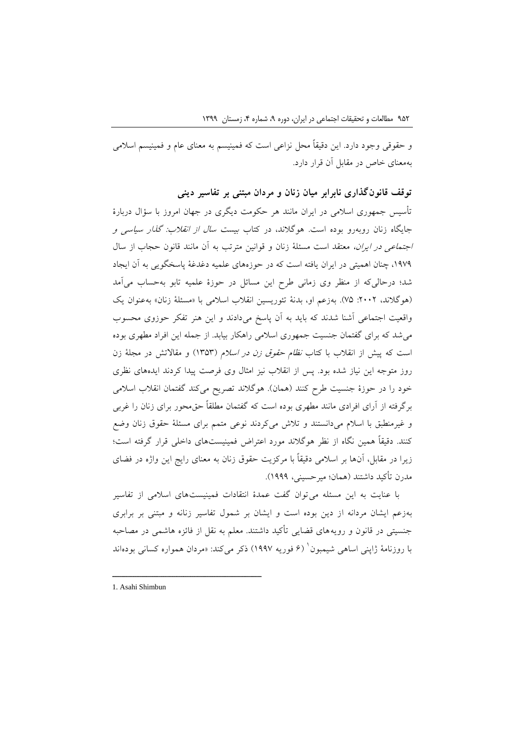و حقوقی وجود دارد. این دقیقاً محل نزاعی است که فمینیسم به معنای عام و فمینیسم اسالمی بهمعنای خاص در مقابل آن قرار دارد.

**توقف قانونگذاری نابرابر میان زنان و مردان مبتنی بر تفاسیر دینی**

تأسیس جمهوری اسالمی در ایران مانند هر حکومت دیگری در جهان امروز با سؤال دربارة جایگاه زنان روبهرو بوده است. هوگالند، در کتاب بیست سال از انقالب: گذار سیاسی و اجتماعی در ایران، معتقد است مسئلة زنان و قوانین مترتب به آن مانند قانون حجاب از سال ،1090 چنان اهمیتی در ایران یافته است که در حوزههای علمیه دغدغة پاسخگویی به آن ایجاد شد؛ درحالیکه از منظر وی زمانی طرح این مسائل در حوزة علمیه تابو بهحساب میآمد (هوگلاند، ٢٠٠٢: ٧۵). بهزعم او، بدنة تئوریسین انقلاب اسلامی با «مسئلة زنان» بهعنوان یک واقعیت اجتماعی آشنا شدند که باید به آن پاسخ میدادند و این هنر تفکر حوزوی محسوب میشد که برای گفتمان جنسیت جمهوری اسالمی راهکار بیابد. از جمله این افراد مطهری بوده است که پیش از انقلاب با کتاب *نظام حقوق زن در اسلام (*۱۳۵۳) و مقالاتش در مجلهٔ زن روز متوجه این نیاز شده بود. پس از انقالب نیز امثال وی فرصت پیدا کردند ایدههای نظری خود را در حوزهٔ جنسیت طرح کنند (همان). هوگلاند تصریح میکند گفتمان انقلاب اسلامی برگرفته از آرای افرادی مانند مطهری بوده است که گفتمان مطلقاً حقمحور برای زنان را غربی و غیرمنطبق با اسالم میدانستند و تالش میکردند نوعی متمم برای مسئلة حقوق زنان وضع کنند. دقیقاً همین نگاه از نظر هوگالند مورد اعتراض فمینیستهای داخلی قرار گرفته است؛ زیرا در مقابل، آنها بر اسالمی دقیقاً با مرکزیت حقوق زنان به معنای رایج این واژه در فضای مدرن تأکید داشتند )همان؛ میرحسینی، 1000(.

با عنایت به این مسئله میتوان گفت عمدة انتقادات فمینیستهای اسالمی از تفاسیر بهزعم ایشان مردانه از دین بوده است و ایشان بر شمول تفاسیر زنانه و مبتنی بر برابری جنسیتی در قانون و رویههای قضایی تأکید داشتند. معلم به نقل از فائزه هاشمی در مصاحبه با روزنامهٔ ژاپنی اساهی شیمبون<sup>' (</sup>۶ فوریه ۱۹۹۷) ذکر میکند: «مردان همواره کسانی بودهاند

<sup>1.</sup> Asahi Shimbun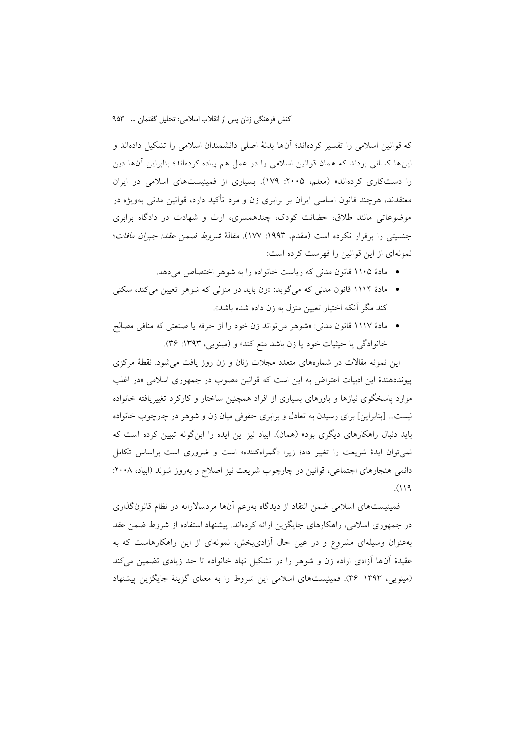که قوانین اسالمی را تفسیر کردهاند؛ آنها بدنة اصلی دانشمندان اسالمی را تشکیل دادهاند و اینها کسانی بودند که همان قوانین اسالمی را در عمل هم پیاده کردهاند؛ بنابراین آنها دین را دستکاری کردهاند» (معلم، ٢٠٠۵: ١٧٩). بسیاری از فمینیستهای اسلامی در ایران معتقدند، هرچند قانون اساسی ایران بر برابری زن و مرد تأکید دارد، قوانین مدنی بهویژه در موضوعاتی مانند طالق، حضانت کودک، چندهمسری، ارث و شهادت در دادگاه برابری جنسیتی را برقرار نکرده است (مقدم، ۱۹۹۳: ۱۷۷). مقالهٔ *شروط ضمن عقد: جبران مافات*؛ نمونهای از این قوانین را فهرست کرده است:

- مادة 1192 قانون مدنی که ریاست خانواده را به شوهر اختصاص میدهد.
- مادة 1111 قانون مدنی که میگوید: »زن باید در منزلی که شوهر تعیین میکند، سکنی کند مگر آنکه اختیار تعیین منزل به زن داده شده باشد«.
- مادة 1119 قانون مدنی: »شوهر میتواند زن خود را از حرفه یا صنعتی که منافی مصالح خانوادگی یا حیثیات خود یا زن باشد منع کند» و (مینویی، ۱۳۹۳: ۳۶).

این نمونه مقاالت در شمارههای متعدد مجالت زنان و زن روز یافت میشود. نقطة مرکزی پیونددهندة این ادبیات اعتراض به این است که قوانین مصوب در جمهوری اسالمی »در اغلب موارد پاسخگوی نیازها و باورهای بسیاری از افراد همچنین ساختار و کارکرد تغییریافته خانواده نیست... ]بنابراین[ برای رسیدن به تعادل و برابری حقوقی میان زن و شوهر در چارچوب خانواده باید دنبال راهکارهای دیگری بود» (همان). ابیاد نیز این ایده را اینگونه تبیین کرده است که نمیتوان ایدة شریعت را تغییر داد؛ زیرا »گمراهکننده« است و ضروری است براساس تکامل دائمی هنجارهای اجتماعی، قوانین در چارچوب شریعت نیز اصلاح و بهروز شوند (ابیاد، ۲۰۰۸:  $.()$ 

فمینیستهای اسالمی ضمن انتقاد از دیدگاه بهزعم آنها مردساالرانه در نظام قانونگذاری در جمهوری اسالمی، راهکارهای جایگزین ارائه کردهاند. پیشنهاد استفاده از شروط ضمن عقد بهعنوان وسیلهای مشروع و در عین حال آزادیبخش، نمونهای از این راهکارهاست که به عقیدة آنها آزادی اراده زن و شوهر را در تشکیل نهاد خانواده تا حد زیادی تضمین میکند )مینویی، :1303 30(. فمینیستهای اسالمی این شروط را به معنای گزینة جایگزین پیشنهاد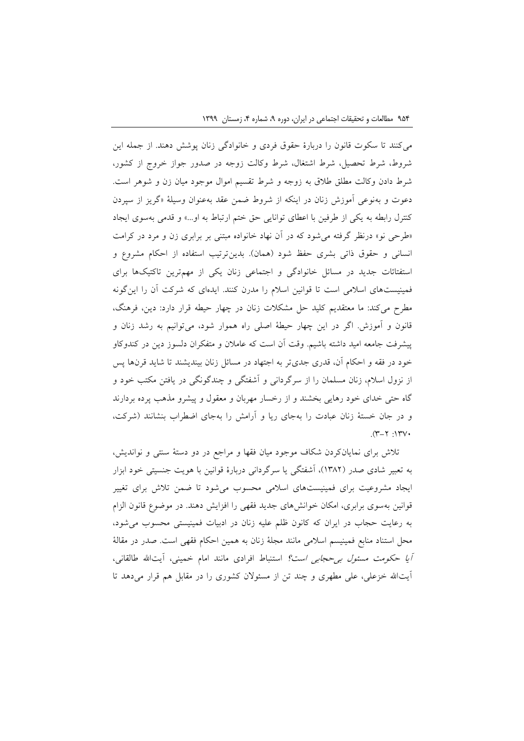میکنند تا سکوت قانون را دربارة حقوق فردی و خانوادگی زنان پوشش دهند. از جمله این شروط، شرط تحصیل، شرط اشتغال، شرط وکالت زوجه در صدور جواز خروج از کشور، شرط دادن وکالت مطلق طالق به زوجه و شرط تقسیم اموال موجود میان زن و شوهر است. دعوت و بهنوعی آموزش زنان در اینکه از شروط ضمن عقد بهعنوان وسیلة »گریز از سپردن کنترل رابطه به یکی از طرفین با اعطای توانایی حق ختم ارتباط به او...« و قدمی بهسوی ایجاد »طرحی نو« درنظر گرفته میشود که در آن نهاد خانواده مبتنی بر برابری زن و مرد در کرامت انسانی و حقوق ذاتی بشری حفظ شود (همان). بدینترتیب استفاده از احکام مشروع و استفتائات جدید در مسائل خانوادگی و اجتماعی زنان یکی از مهمترین تاکتیکها برای فمینیستهای اسالمی است تا قوانین اسالم را مدرن کنند. ایدهای که شرکت آن را اینگونه مطرح میکند: ما معتقدیم کلید حل مشکالت زنان در چهار حیطه قرار دارد: دین، فرهنگ، قانون و آموزش. اگر در این چهار حیطة اصلی راه هموار شود، میتوانیم به رشد زنان و پیشرفت جامعه امید داشته باشیم. وقت آن است که عامالن و متفکران دلسوز دین در کندوکاو خود در فقه و احکام آن، قدری جدیتر به اجتهاد در مسائل زنان بیندیشند تا شاید قرنها پس از نزول اسالم، زنان مسلمان را از سرگردانی و آشفتگی و چندگونگی در یافتن مکتب خود و گاه حتی خدای خود رهایی بخشند و از رخسار مهربان و معقول و پیشرو مذهب پرده بردارند و در جان خستة زنان عبادت را بهجای ریا و آرامش را بهجای اضطراب بنشانند )شرکت،  $.971:17V$ 

تالش برای نمایانکردن شکاف موجود میان فقها و مراجع در دو دستة سنتی و نواندیش، به تعبیر شادی صدر )1320(، آشفتگی یا سرگردانی دربارة قوانین با هویت جنسیتی خود ابزار ایجاد مشروعیت برای فمینیستهای اسالمی محسوب میشود تا ضمن تالش برای تغییر قوانین بهسوی برابری، امکان خوانشهای جدید فقهی را افزایش دهند. در موضوع قانون الزام به رعایت حجاب در ایران که کانون ظلم علیه زنان در ادبیات فمینیستی محسوب میشود، محل استناد منابع فمینیسم اسالمی مانند مجلة زنان به همین احکام فقهی است. صدر در مقالة آیا حکومت مسئ*ول بی حجابی است؟* استنباط افرادی مانند امام خمینی، آیتالله طالقانی، آیتاهلل خزعلی، علی مطهری و چند تن از مسئوالن کشوری را در مقابل هم قرار میدهد تا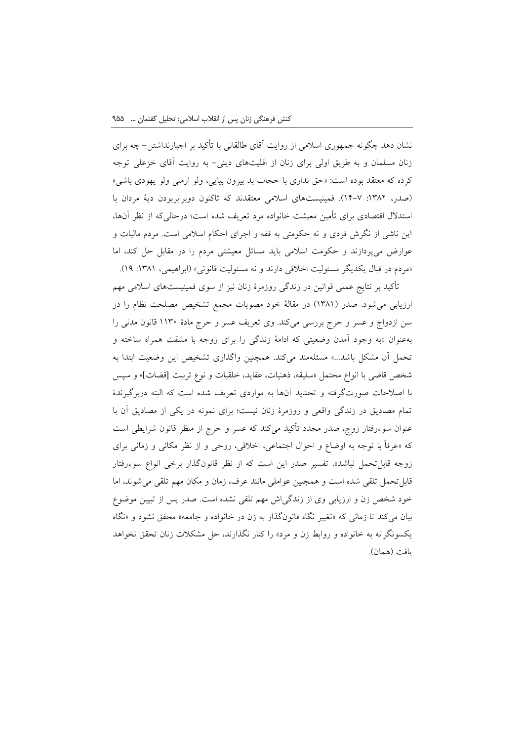نشان دهد چگونه جمهوری اسالمی از روایت آقای طالقانی با تأکید بر اجبارنداشتن- چه برای زنان مسلمان و به طریق اولی برای زنان از اقلیتهای دینی- به روایت آقای خزعلی توجه کرده که معتقد بوده است: »حق نداری با حجاب بد بیرون بیایی، ولو ارمنی ولو یهودی باشی« )صدر، :1320 11-9(. فمینیستهای اسالمی معتقدند که تاکنون دوبرابربودن دیة مردان با استدالل اقتصادی برای تأمین معیشت خانواده مرد تعریف شده است؛ درحالیکه از نظر آنها، این ناشی از نگرش فردی و نه حکومتی به فقه و اجرای احکام اسالمی است. مردم مالیات و عوارض میپردازند و حکومت اسالمی باید مسائل معیشتی مردم را در مقابل حل کند، اما «مردم در قبال یکدیگر مسئولیت اخلاقی دارند و نه مسئولیت قانونی» (ابراهیمی، ۱۳۸۱: ۱۹).

تأکید بر نتایج عملی قوانین در زندگی روزمرة زنان نیز از سوی فمینیستهای اسالمی مهم ارزیابی میشود. صدر (۱۳۸۱) در مقالهٔ خود مصوبات مجمع تشخیص مصلحت نظام را در سن ازدواج و عسر و حرج بررسی میکند. وی تعریف عسر و حرج مادة 1139 قانون مدنی را بهعنوان »به وجود آمدن وضعیتی که ادامة زندگی را برای زوجه با مشقت همراه ساخته و تحمل آن مشکل باشد...« مسئلهمند میکند. همچنین واگذاری تشخیص این وضعیت ابتدا به شخص قاضی با انواع محتمل »سلیقه، ذهنیات، عقاید، خلقیات و نوع تربیت قضات]« و سپس با اصالحات صورتگرفته و تحدید آنها به مواردی تعریف شده است که البته دربرگیرندة تمام مصادیق در زندگی واقعی و روزمرة زنان نیست؛ برای نمونه در یکی از مصادیق آن با عنوان سوءرفتار زوج، صدر مجدد تأکید میکند که عسر و حرج از منظر قانون شرایطی است که »عرفاً با توجه به اوضاع و احوال اجتماعی، اخالقی، روحی و از نظر مکانی و زمانی برای زوجه قابل تحمل نباشد». تفسیر صدر این است که از نظر قانونگذار برخی انواع سوءرفتار قابلتحمل تلقی شده است و همچنین عواملی مانند عرف، زمان و مکان مهم تلقی میشوند، اما خود شخص زن و ارزیابی وی از زندگیاش مهم تلقی نشده است. صدر پس از تبیین موضوع بیان میکند تا زمانی که »تغییر نگاه قانونگذار به زن در خانواده و جامعه« محقق نشود و »نگاه یکسونگرانه به خانواده و روابط زن و مرد« را کنار نگذارند، حل مشکالت زنان تحقق نخواهد یافت (همان).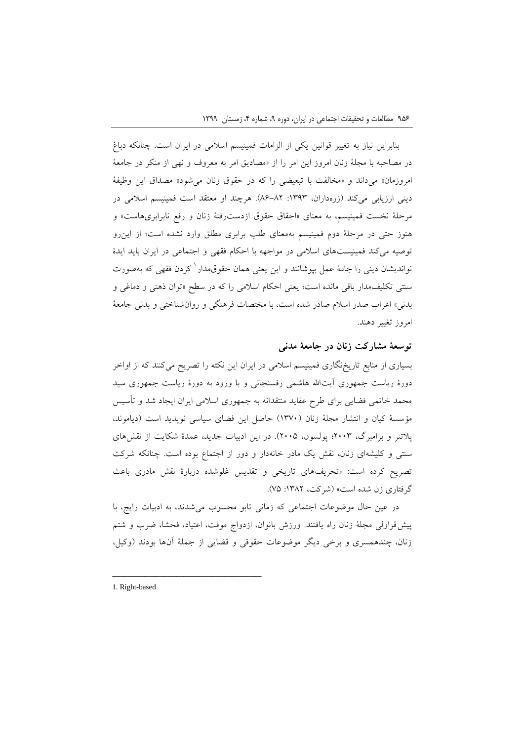بنابراین نیاز به تغییر قوانین یکی از الزامات فمینیسم اسالمی در ایران است. چنانکه دباغ در مصاحبه با مجلة زنان امروز این امر را از »مصادیق امر به معروف و نهی از منکر در جامعة امروزمان« میداند و »مخالفت با تبعیضی را که در حقوق زنان میشود« مصداق این وظیفة دینی ارزیابی میکند (زرهداران، ١٣٩٣: ٨٢-٨۶). هرچند او معتقد است فمینیسم اسلامی در مرحلة نخست فمینیسم، به معنای »احقاق حقوق ازدسترفتة زنان و رفع نابرابریهاست« و هنوز حتی در مرحلة دوم فمینیسم بهمعنای طلب برابری مطلق وارد نشده است؛ از اینرو توصیه میکند فمینیستهای اسالمی در مواجهه با احکام فقهی و اجتماعی در ایران باید ایدة نواندیشان دینی را جامهٔ عمل بپوشانند و این یعنی همان حقوق.مدار<sup>\</sup> کردن فقهی که بهصورت سنتی تکلیفمدار باقی مانده است؛ یعنی احکام اسلامی را که در سطح «توان ذهنی و دماغی و بدنی» اعراب صدر اسلام صادر شده است، با مختصات فرهنگی و روان شناختی و بدنی جامعهٔ امروز تغییر دهند.

## **توسعة مشارکت زنان در جامعة مدنی**

بسیاری از منابع تاریخنگاری فمینیسم اسالمی در ایران این نکته را تصریح میکنند که از اواخر دورهٔ ریاست جمهوری آیتالله هاشمی رفسنجانی و با ورود به دورهٔ ریاست جمهوری سید محمد خاتمی فضایی برای طرح عقاید منتقدانه به جمهوری اسالمی ایران ایجاد شد و تأسیس مؤسسة کیان و انتشار مجلة زنان )1399( حاصل این فضای سیاسی نوپدید است )دیاموند، پالتنر و برامبرگ، 0993؛ پولسون، 0992(. در این ادبیات جدید، عمدة شکایت از نقشهای سنتی و کلیشهای زنان، نقش یک مادر خانهدار و دور از اجتماع بوده است. چنانکه شرکت تصریح کرده است: »تحریفهای تاریخی و تقدیس غلوشده دربارة نقش مادری باعث گرفتاری زن شده است» (شرکت، ۱۳۸۲: ۷۵).

در عین حال موضوعات اجتماعی که زمانی تابو محسوب میشدند، به ادبیات رایج، با پیشقراولی مجلة زنان راه یافتند. ورزش بانوان، ازدواج موقت، اعتیاد، فحشا، ضرب و شتم زنان، چندهمسری و برخی دیگر موضوعات حقوقی و قضایی از جملة آنها بودند )وکیل،

1. Right-based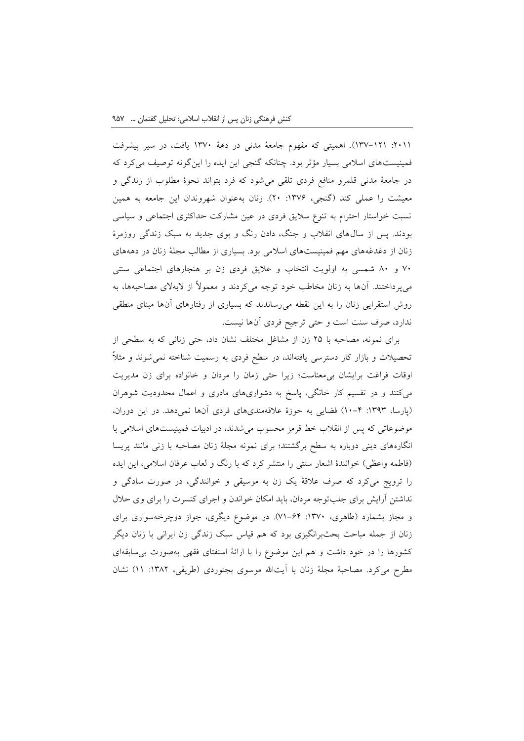:0911 139-101(. اهمیتی که مفهوم جامعة مدنی در دهة 1399 یافت، در سیر پیشرفت فمینیستهای اسالمی بسیار مؤثر بود. چنانکه گنجی این ایده را اینگونه توصیف میکرد که در جامعة مدنی قلمرو منافع فردی تلقی میشود که فرد بتواند نحوة مطلوب از زندگی و معیشت را عملی کند (گنجی، ۱۳۷۶: ۲۰). زنان بهعنوان شهروندان این جامعه به همین نسبت خواستار احترام به تنوع سالیق فردی در عین مشارکت حداکثری اجتماعی و سیاسی بودند. پس از سالهای انقالب و جنگ، دادن رنگ و بوی جدید به سبک زندگی روزمرة زنان از دغدغههای مهم فمینیستهای اسالمی بود. بسیاری از مطالب مجلة زنان در دهههای 99 و 29 شمسی به اولویت انتخاب و عالیق فردی زن بر هنجارهای اجتماعی سنتی میپرداختند. آنها به زنان مخاطب خود توجه میکردند و معموالً از البهالی مصاحبهها، به روش استقرایی زنان را به این نقطه میرساندند که بسیاری از رفتارهای آنها مبنای منطقی ندارد، صرف سنت است و حتی ترجیح فردی آنها نیست.

برای نمونه، مصاحبه با 02 زن از مشاغل مختلف نشان داد، حتی زنانی که به سطحی از تحصیالت و بازار کار دسترسی یافتهاند، در سطح فردی به رسمیت شناخته نمیشوند و مثالً اوقات فراغت برایشان بیمعناست؛ زیرا حتی زمان را مردان و خانواده برای زن مدیریت میکنند و در تقسیم کار خانگی، پاسخ به دشواریهای مادری و اعمال محدودیت شوهران )پارسا، :1303 19-1( فضایی به حوزة عالقهمندیهای فردی آنها نمیدهد. در این دوران، موضوعاتی که پس از انقالب خط قرمز محسوب میشدند، در ادبیات فمینیستهای اسالمی با انگارههای دینی دوباره به سطح برگشتند؛ برای نمونه مجلة زنان مصاحبه با زنی مانند پریسا (فاطمه واعظی) خوانندهٔ اشعار سنتی را منتشر کرد که با رنگ و لعاب عرفان اسلامی، این ایده را ترویج میکرد که صرف عالقة یک زن به موسیقی و خوانندگی، در صورت سادگی و نداشتن آرایش برای جلبتوجه مردان، باید امکان خواندن و اجرای کنسرت را برای وی حالل و مجاز بشمارد )طاهری، :1399 91-01(. در موضوع دیگری، جواز دوچرخهسواری برای زنان از جمله مباحث بحثبرانگیزی بود که هم قیاس سبک زندگی زن ایرانی با زنان دیگر کشورها را در خود داشت و هم این موضوع را با ارائة استفتای فقهی بهصورت بیسابقهای مطرح میکرد. مصاحبهٔ مجلهٔ زنان با آیتالله موسوی بجنوردی (طریقی، ١٣٨٢: ١١) نشان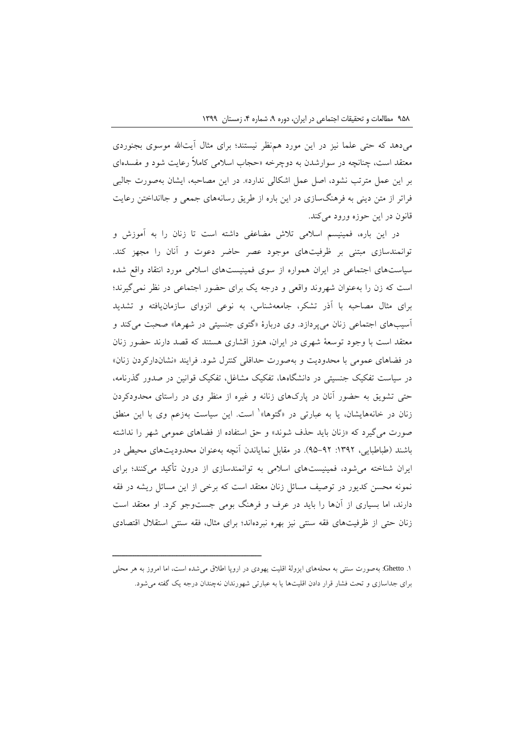میدهد که حتی علما نیز در این مورد همنظر نیستند؛ برای مثال آیتاهلل موسوی بجنوردی معتقد است، چنانچه در سوارشدن به دوچرخه »حجاب اسالمی کامالً رعایت شود و مفسدهای بر این عمل مترتب نشود، اصل عمل اشکالی ندارد«. در این مصاحبه، ایشان بهصورت جالبی فراتر از متن دینی به فرهنگسازی در این باره از طریق رسانههای جمعی و جاانداختن رعایت قانون در این حوزه ورود میکند.

در این باره، فمینیسم اسالمی تالش مضاعفی داشته است تا زنان را به آموزش و توانمندسازی مبتنی بر ظرفیتهای موجود عصر حاضر دعوت و آنان را مجهز کند. سیاستهای اجتماعی در ایران همواره از سوی فمینیستهای اسالمی مورد انتقاد واقع شده است که زن را بهعنوان شهروند واقعی و درجه یک برای حضور اجتماعی در نظر نمیگیرند؛ برای مثال مصاحبه با آذر تشکر، جامعهشناس، به نوعی انزوای سازمانیافته و تشدید آسیبهای اجتماعی زنان میپردازد. وی دربارة »گتوی جنسیتی در شهرها« صحبت میکند و معتقد است با وجود توسعة شهری در ایران، هنوز اقشاری هستند که قصد دارند حضور زنان در فضاهای عمومی با محدودیت و بهصورت حداقلی کنترل شود. فرایند »نشاندارکردن زنان« در سیاست تفکیک جنسیتی در دانشگاهها، تفکیک مشاغل، تفکیک قوانین در صدور گذرنامه، حتی تشویق به حضور آنان در پارکهای زنانه و غیره از منظر وی در راستای محدودکردن زنان در خانههایشان، یا به عبارتی در «گتوها»<sup>۱</sup> است. این سیاست بهزعم وی با این منطق صورت میگیرد که »زنان باید حذف شوند« و حق استفاده از فضاهای عمومی شهر را نداشته باشند )طباطبایی، :1300 02-00(. در مقابل نمایاندن آنچه بهعنوان محدودیتهای محیطی در ایران شناخته میشود، فمینیستهای اسالمی به توانمندسازی از درون تأکید میکنند؛ برای نمونه محسن کدیور در توصیف مسائل زنان معتقد است که برخی از این مسائل ریشه در فقه دارند، اما بسیاری از آنها را باید در عرف و فرهنگ بومی جستوجو کرد. او معتقد است زنان حتی از ظرفیتهای فقه سنتی نیز بهره نبردهاند؛ برای مثال، فقه سنتی استقالل اقتصادی

<sup>.1</sup> Ghetto: بهصورت سنتی به محلههای ایزولة اقلیت یهودی در اروپا اطالق میشده است، اما امروز به هر محلی برای جداسازی و تحت فشار قرار دادن اقلیتها یا به عبارتی شهورندان نهچندان درجه یک گفته میشود.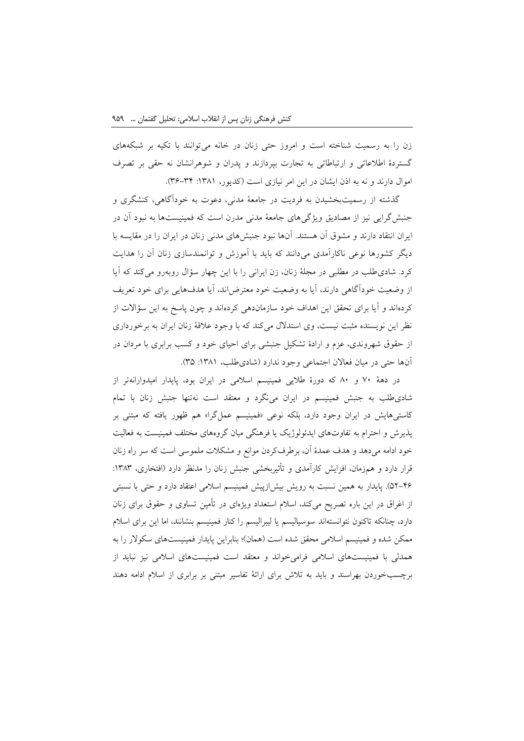زن را به رسمیت شناخته است و امروز حتی زنان در خانه میتوانند با تکیه بر شبکههای گستردة اطالعاتی و ارتباطاتی به تجارت بپردازند و پدران و شوهرانشان نه حقی بر تصرف اموال دارند و نه به اذن ایشان در این امر نیازی است (کدیور، ۱۳۸۱: ۳۴–۳۶).

گذشته از رسمیتبخشیدن به فردیت در جامعة مدنی، دعوت به خودآگاهی، کنشگری و جنبشگرایی نیز از مصادیق ویژگیهای جامعة مدنی مدرن است که فمینیستها به نبود آن در ایران انتقاد دارند و مشوق آن هستند. آنها نبود جنبشهای مدنی زنان در ایران را در مقایسه با دیگر کشورها نوعی ناکارآمدی میدانند که باید با آموزش و توانمندسازی زنان آن را هدایت کرد. شادیطلب در مطلبی در مجلة زنان، زن ایرانی را با این چهار سؤال روبهرو میکند که آیا از وضعیت خودآگاهی دارند، آیا به وضعیت خود معترضاند، آیا هدفهایی برای خود تعریف کردهاند و آیا برای تحقق این اهداف خود سازماندهی کردهاند و چون پاسخ به این سؤاالت از نظر این نویسنده مثبت نیست، وی استدالل میکند که با وجود عالقة زنان ایران به برخورداری از حقوق شهروندی، عزم و ارادة تشکیل جنبشی برای احیای خود و کسب برابری با مردان در آنها حتی در میان فعالان اجتماعی وجود ندارد (شادی طلب، ۱۳۸۱: ۳۵).

در دهة 99 و 29 که دورة طالیی فمینیسم اسالمی در ایران بود، پایدار امیدوارانهتر از شادیطلب به جنبش فمینیسم در ایران مینگرد و معتقد است نهتنها جنبش زنان با تمام کاستیهایش در ایران وجود دارد، بلکه نوعی »فمینیسم عملگرا« هم ظهور یافته که مبتنی بر پذیرش و احترام به تفاوتهای ایدئولوژیک یا فرهنگی میان گروههای مختلف فمینیست به فعالیت خود ادامه میدهد و هدف عمدة آن، برطرفکردن موانع و مشکالت ملموسی است که سر راه زنان قرار دارد و همزمان، افزایش کارآمدی و تأثیربخشی جنبش زنان را مدنظر دارد (افتخاری، ۱۳۸۳: 20-10(. پایدار به همین نسبت به رویش بیشازپیش فمینیسم اسالمی اعتقاد دارد و حتی با نسبتی از اغراق در این باره تصریح میکند، اسالم استعداد ویژهای در تأمین تساوی و حقوق برای زنان دارد، چنانکه تاکنون نتوانستهاند سوسیالیسم یا لیبرالیسم را کنار فمینیسم بنشانند، اما این برای اسالم ممکن شده و فمینیسم اسالمی محقق شده است )همان(؛ بنابراین پایدار فمینیستهای سکوالر را به همدلی با فمینیستهای اسالمی فرامیخواند و معتقد است فمینیستهای اسالمی نیز نباید از برچسبخوردن بهراسند و باید به تالش برای ارائة تفاسیر مبتنی بر برابری از اسالم ادامه دهند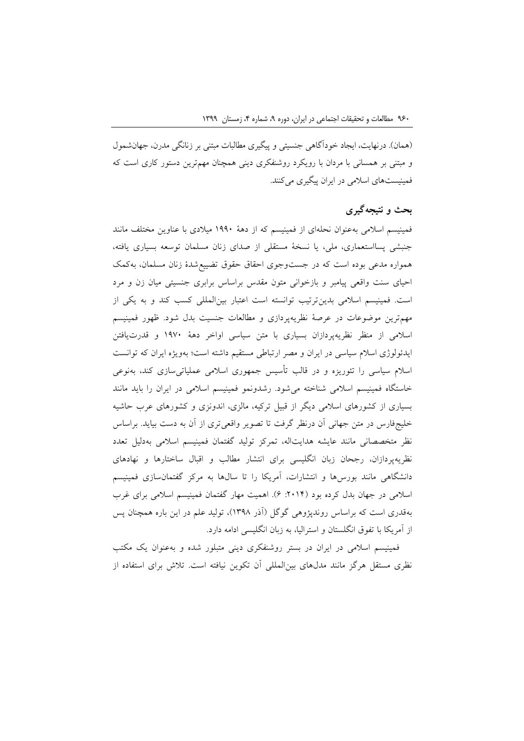(همان). درنهایت، ایجاد خودآگاهی جنسیتی و پیگیری مطالبات مبتنی بر زنانگی مدرن، جهانشمول و مبتنی بر همسانی با مردان با رویکرد روشنفکری دینی همچنان مهمترین دستور کاری است که فمینیستهای اسالمی در ایران پیگیری میکنند.

### **بحث و نتیجهگیری**

فمینیسم اسالمی بهعنوان نحلهای از فمینیسم که از دهة 1009 میالدی با عناوین مختلف مانند جنبشی پسااستعماری، ملی، یا نسخة مستقلی از صدای زنان مسلمان توسعه بسیاری یافته، همواره مدعی بوده است که در جستوجوی احقاق حقوق تضییعشدة زنان مسلمان، بهکمک احیای سنت واقعی پیامبر و بازخوانی متون مقدس براساس برابری جنسیتی میان زن و مرد است. فمینیسم اسالمی بدینترتیب توانسته است اعتبار بینالمللی کسب کند و به یکی از مهمترین موضوعات در عرصة نظریهپردازی و مطالعات جنسیت بدل شود. ظهور فمینیسم اسالمی از منظر نظریهپردازان بسیاری با متن سیاسی اواخر دهة 1099 و قدرتیافتن ایدئولوژی اسالم سیاسی در ایران و مصر ارتباطی مستقیم داشته است؛ بهویژه ایران که توانست اسالم سیاسی را تئوریزه و در قالب تأسیس جمهوری اسالمی عملیاتیسازی کند، بهنوعی خاستگاه فمینیسم اسالمی شناخته میشود. رشدونمو فمینیسم اسالمی در ایران را باید مانند بسیاری از کشورهای اسالمی دیگر از قبیل ترکیه، مالزی، اندونزی و کشورهای عرب حاشیه خلیجفارس در متن جهانی آن درنظر گرفت تا تصویر واقعیتری از آن به دست بیاید. براساس نظر متخصصانی مانند عایشه هدایتاله، تمرکز تولید گفتمان فمینیسم اسالمی بهدلیل تعدد نظریهپردازان، رجحان زبان انگلیسی برای انتشار مطالب و اقبال ساختارها و نهادهای دانشگاهی مانند بورسها و انتشارات، آمریکا را تا سالها به مرکز گفتمانسازی فمینیسم اسالمی در جهان بدل کرده بود ):0911 0(. اهمیت مهار گفتمان فمینیسم اسالمی برای غرب بهقدری است که براساس روندپژوهی گوگل )آذر 1302(، تولید علم در این باره همچنان پس از آمریکا با تفوق انگلستان و استرالیا، به زبان انگلیسی ادامه دارد.

فمینیسم اسالمی در ایران در بستر روشنفکری دینی متبلور شده و بهعنوان یک مکتب نظری مستقل هرگز مانند مدلهای بینالمللی آن تکوین نیافته است. تالش برای استفاده از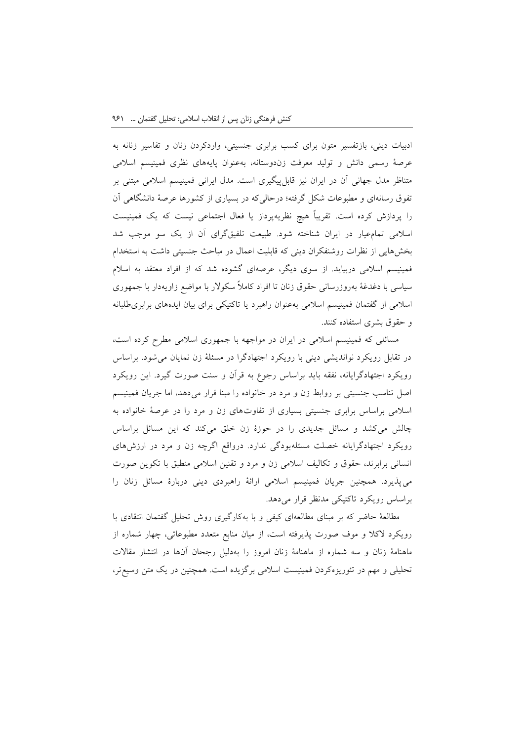ادبیات دینی، بازتفسیر متون برای کسب برابری جنسیتی، واردکردن زنان و تفاسیر زنانه به عرصة رسمی دانش و تولید معرفت زندوستانه، بهعنوان پایههای نظری فمینیسم اسالمی متناظر مدل جهانی آن در ایران نیز قابلپیگیری است. مدل ایرانی فمینیسم اسالمی مبتنی بر تفوق رسانهای و مطبوعات شکل گرفته؛ درحالیکه در بسیاری از کشورها عرصة دانشگاهی آن را پردازش کرده است. تقریباً هیچ نظریهپرداز یا فعال اجتماعی نیست که یک فمینیست اسالمی تمامعیار در ایران شناخته شود. طبیعت تلفیقگرای آن از یک سو موجب شد بخشهایی از نظرات روشنفکران دینی که قابلیت اعمال در مباحث جنسیتی داشت به استخدام فمینیسم اسالمی دربیاید. از سوی دیگر، عرصهای گشوده شد که از افراد معتقد به اسالم سیاسی با دغدغة بهروزرسانی حقوق زنان تا افراد کامالً سکوالر با مواضع زاویهدار با جمهوری اسالمی از گفتمان فمینیسم اسالمی بهعنوان راهبرد یا تاکتیکی برای بیان ایدههای برابریطلبانه و حقوق بشری استفاده کنند.

مسائلی که فمینیسم اسالمی در ایران در مواجهه با جمهوری اسالمی مطرح کرده است، در تقابل رویکرد نواندیشی دینی با رویکرد اجتهادگرا در مسئلة زن نمایان میشود. براساس رویکرد اجتهادگرایانه، نفقه باید براساس رجوع به قرآن و سنت صورت گیرد. این رویکرد اصل تناسب جنسیتی بر روابط زن و مرد در خانواده را مبنا قرار میدهد، اما جریان فمینیسم اسالمی براساس برابری جنسیتی بسیاری از تفاوتهای زن و مرد را در عرصة خانواده به چالش میکشد و مسائل جدیدی را در حوزة زن خلق میکند که این مسائل براساس رویکرد اجتهادگرایانه خصلت مسئلهبودگی ندارد. درواقع اگرچه زن و مرد در ارزشهای انسانی برابرند، حقوق و تکالیف اسالمی زن و مرد و تقنین اسالمی منطبق با تکوین صورت میپذیرد. همچنین جریان فمینیسم اسالمی ارائة راهبردی دینی دربارة مسائل زنان را براساس رویکرد تاکتیکی مدنظر قرار میدهد.

مطالعة حاضر که بر مبنای مطالعهای کیفی و با بهکارگیری روش تحلیل گفتمان انتقادی با رویکرد الکال و موف صورت پذیرفته است، از میان منابع متعدد مطبوعاتی، چهار شماره از ماهنامة زنان و سه شماره از ماهنامة زنان امروز را بهدلیل رجحان آنها در انتشار مقاالت تحلیلی و مهم در تئوریزهکردن فمینیست اسالمی برگزیده است. همچنین در یک متن وسیعتر،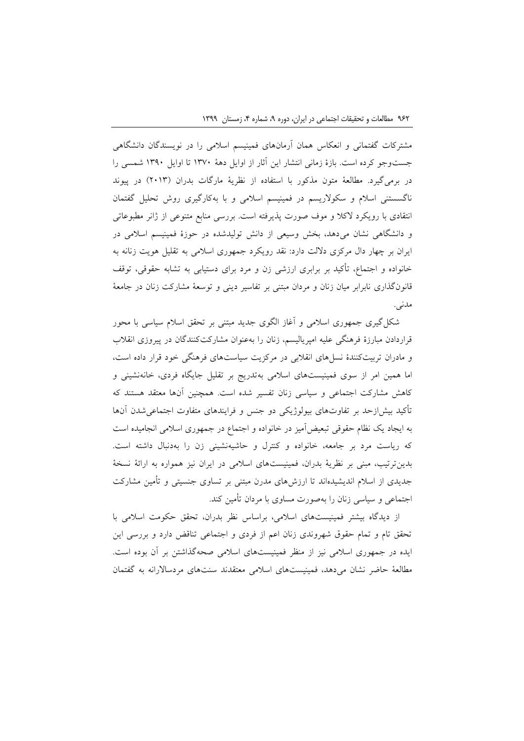مشترکات گفتمانی و انعکاس همان آرمانهای فمینیسم اسالمی را در نویسندگان دانشگاهی جستوجو کرده است. بازة زمانی انتشار این آثار از اوایل دهة 1399 تا اوایل 1309 شمسی را در برمیگیرد. مطالعهٔ متون مذکور با استفاده از نظریهٔ مارگات بدران (۲۰۱۳) در پیوند ناگسستنی اسالم و سکوالریسم در فمینیسم اسالمی و با بهکارگیری روش تحلیل گفتمان انتقادی با رویکرد الکال و موف صورت پذیرفته است. بررسی منابع متنوعی از ژانر مطبوعاتی و دانشگاهی نشان میدهد، بخش وسیعی از دانش تولیدشده در حوزة فمینیسم اسالمی در ایران بر چهار دال مرکزی داللت دارد: نقد رویکرد جمهوری اسالمی به تقلیل هویت زنانه به خانواده و اجتماع، تأکید بر برابری ارزشی زن و مرد برای دستیابی به تشابه حقوقی، توقف قانونگذاری نابرابر میان زنان و مردان مبتنی بر تفاسیر دینی و توسعة مشارکت زنان در جامعة مدنی.

شکل گیری جمهوری اسلامی و آغاز الگوی جدید مبتنی بر تحقق اسلام سیاسی با محور قراردادن مبارزة فرهنگی علیه امپریالیسم، زنان را بهعنوان مشارکتکنندگان در پیروزی انقالب و مادران تربیتکنندة نسلهای انقالبی در مرکزیت سیاستهای فرهنگی خود قرار داده است، اما همین امر از سوی فمینیستهای اسالمی بهتدریج بر تقلیل جایگاه فردی، خانهنشینی و کاهش مشارکت اجتماعی و سیاسی زنان تفسیر شده است. همچنین آنها معتقد هستند که تأکید بیشازحد بر تفاوتهای بیولوژیکی دو جنس و فرایندهای متفاوت اجتماعیشدن آنها به ایجاد یک نظام حقوقی تبعیضآمیز در خانواده و اجتماع در جمهوری اسالمی انجامیده است که ریاست مرد بر جامعه، خانواده و کنترل و حاشیهنشینی زن را بهدنبال داشته است. بدینترتیب، مبنی بر نظریة بدران، فمینیستهای اسالمی در ایران نیز همواره به ارائة نسخة جدیدی از اسالم اندیشیدهاند تا ارزشهای مدرن مبتنی بر تساوی جنسیتی و تأمین مشارکت اجتماعی و سیاسی زنان را بهصورت مساوی با مردان تأمین کند.

از دیدگاه بیشتر فمینیستهای اسالمی، براساس نظر بدران، تحقق حکومت اسالمی با تحقق تام و تمام حقوق شهروندی زنان اعم از فردی و اجتماعی تناقض دارد و بررسی این ایده در جمهوری اسالمی نیز از منظر فمینیستهای اسالمی صحهگذاشتن بر آن بوده است. مطالعة حاضر نشان میدهد، فمینیستهای اسالمی معتقدند سنتهای مردساالرانه به گفتمان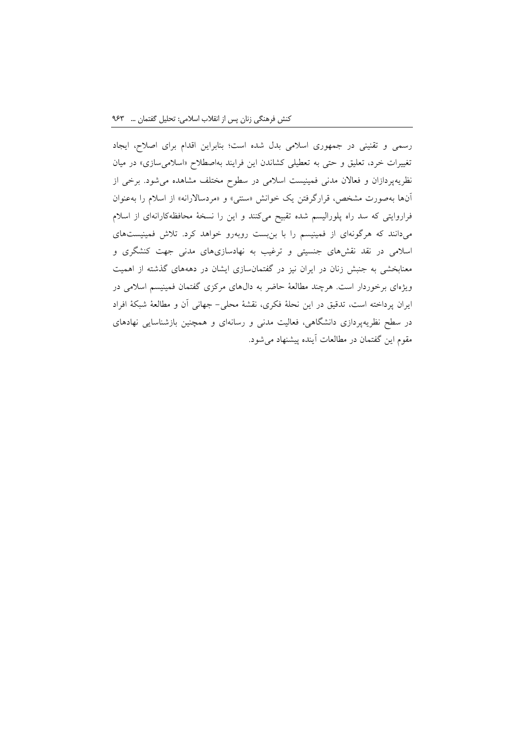رسمی و تقنینی در جمهوری اسالمی بدل شده است؛ بنابراین اقدام برای اصالح، ایجاد تغییرات خرد، تعلیق و حتی به تعطیلی کشاندن این فرایند بهاصطلاح «اسلامیسازی» در میان نظریهپردازان و فعاالن مدنی فمینیست اسالمی در سطوح مختلف مشاهده میشود. برخی از آنها بهصورت مشخص، قرارگرفتن یک خوانش »سنتی« و »مردساالرانه« از اسالم را بهعنوان فراروایتی که سد راه پلورالیسم شده تقبیح میکنند و این را نسخة محافظهکارانهای از اسالم میدانند که هرگونهای از فمینیسم را با بنبست روبهرو خواهد کرد. تالش فمینیستهای اسالمی در نقد نقشهای جنسیتی و ترغیب به نهادسازیهای مدنی جهت کنشگری و معنابخشی به جنبش زنان در ایران نیز در گفتمانسازی ایشان در دهههای گذشته از اهمیت ویژهای برخوردار است. هرچند مطالعة حاضر به دالهای مرکزی گفتمان فمینیسم اسالمی در ایران پرداخته است، تدقیق در این نحلة فکری، نقشة محلی- جهانی آن و مطالعة شبکة افراد در سطح نظریهپردازی دانشگاهی، فعالیت مدنی و رسانهای و همچنین بازشناسایی نهادهای مقوم این گفتمان در مطالعات آینده پیشنهاد میشود.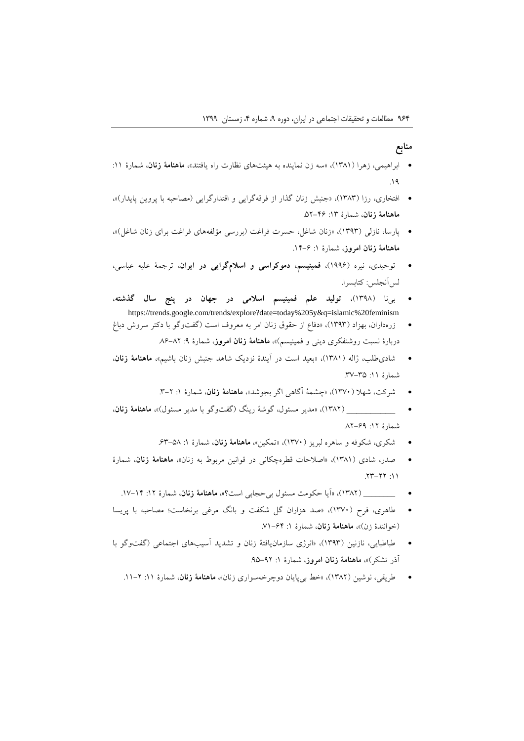#### **منابع**

- ابراهیمی، زهرا )1321(، »سه زن نماینده به هیئتهای نظارت راه یافتند«، **ماهنامة زنان**، شمارة :11 .10
- افتخاری، رزا )1323(، »جنبش زنان گذار از فرقهگرایی و اقتدارگرایی )مصاحبه با پروین پایدار(«، **ماهنامة زنان**، شمارة :13 .20-10
- پارسا، نازلی )1303(، »زنان شاغل، حسرت فراغت )بررسی مؤلفههای فراغت برای زنان شاغل(«، **ماهنامة زنان امروز**، شمارة :1 .11-0
- توحیدی، نیره )1000(، **فمینیسم، دموکراسی و اسالمگرایی در ایران**، ترجمة علیه عباسی، لسآنجلس: کتابسرا.
- بینا )1302(، **تولید علم فمینیسم اسالمی در جهان در پنج سال گذشته**، https://trends.google.com/trends/explore?date=today%205y&q=islamic%20feminism
- زرهداران، بهزاد )1303(، »دفاع از حقوق زنان امر به معروف است )گفتوگو با دکتر سروش دباغ دربارهٔ نسبت روشنفکری دینی و فمینیسم)»، **ماهنامهٔ زنان امروز**، شمارهٔ ۹: ۸۲–۸۶
- شادیطلب، ژاله )1321(، »بعید است در آیندة نزدیک شاهد جنبش زنان باشیم«، **ماهنامة زنان**، شمارة :11 .39-32
	- شرکت، شهال )1399(، »چشمة آگاهی اگر بجوشد«، **ماهنامة زنان**، شمارة :1 .3-0
- ( \_\_\_\_\_\_\_\_\_\_ 1320)،« مدیر مسئول، گوشة رینگ )گفتوگو با مدیر مسئول(«، **ماهنامة زنان**، شمارة :10 .20-00
	- شکری، شکوفه و ساهره لبریز )1399(، »تمکین«، **ماهنامة زنان**، شمارة :1 .03-22
- صدر، شادی (۱۳۸۱)، «اصلاحات قطرهچکانی در قوانین مربوط به زنان»، م**اهنامهٔ زنان**، شمارهٔ .03-00 :11
	- ( \_\_\_\_\_\_\_\_ 1320)،« آیا حکومت مسئول بیحجابی است؟«، **ماهنامة زنان**، شمارة :10 .19-11
- طاهری، فرح )1399(، »صد هزاران گل شکفت و بانگ مرغی برنخاست؛ مصاحبه با پریسا )خوانندة زن(«، **ماهنامة زنان**، شمارة :1 .91-01
- طباطبایی، نازنین (۱۳۹۳)، «انرژی سازمان یافتهٔ زنان و تشدید آسیبهای اجتماعی (گفتوگو با آذر تشکر(«، **ماهنامة زنان امروز**، شمارة :1 .02-00
	- طریقی، نوشین (۱۳۸۲)، «خط بی پایان دوچرخهسواری زنان»**، ماهنامهٔ زنان**، شمارهٔ ۱۱. ۲–۱۱.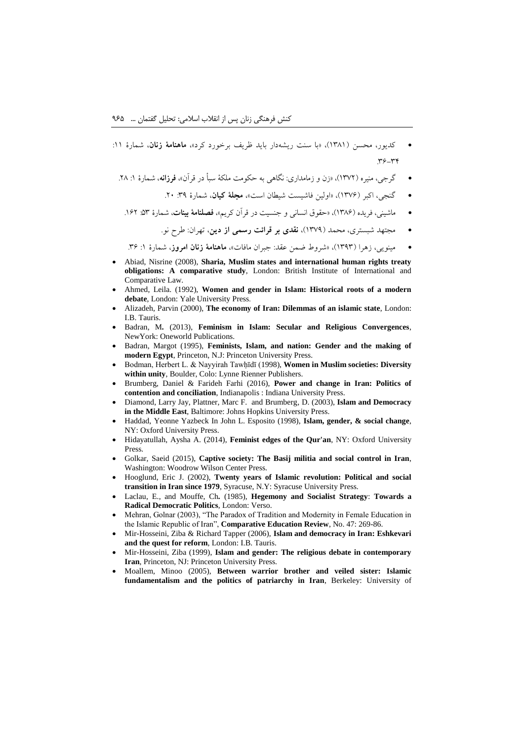- کدیور، محسن )1321(، »با سنت ریشهدار باید ظریف برخورد کرد«، **ماهنامة زنان**، شمارة :11  $P^2 - P^*$
- گرجی، منیره (۱۳۷۲)، «زن و زمامداری: نگاه<sub>ی</sub> به حکومت ملکهٔ سبأ در قرآن»، **فرزانه**، شمارهٔ ۱: ۲۸.
	- گنجی، اکبر (۱۳۷۶)، «اولین فاشیست شیطان است»، **مجلهٔ کیان**، شمارهٔ ۳۹: ۲۰.
	- ماشینی، فریده (۱۳۸۶)، «حقوق انسانی و جنسیت در قرآن کریم»، **فصلنامهٔ بینات**، شمارهٔ ۵۳: ۱۶۲.
		- مجتهد شبستری، محمد )1390(، **نقدی بر قرائت رسمی از دین**، تهران: طرح نو.

مینویی، زهرا (۱۳۹۳)، «شروط ضمن عقد: جبران مافات»، **ماهنامهٔ زنان امروز**، شمارهٔ ۱: ۳۶.

- Abiad, Nisrine (2008), **Sharia, Muslim states and international human rights treaty obligations: A comparative study**, London: British Institute of International and Comparative Law.
- Ahmed, Leila. (1992), **Women and gender in Islam: Historical roots of a modern debate**, London: Yale University Press.
- Alizadeh, Parvin (2000), **The economy of Iran: Dilemmas of an islamic state**, London: I.B. Tauris.
- Badran, M*.* (2013), **Feminism in Islam: Secular and Religious Convergences**, NewYork: Oneworld Publications.
- Badran, Margot (1995), **Feminists, Islam, and nation: Gender and the making of modern Egypt**, Princeton, N.J: Princeton University Press.
- Bodman, Herbert L. & Nayyirah Tawhīdī (1998), **Women in Muslim societies: Diversity within unity**, Boulder, Colo: Lynne Rienner Publishers.
- Brumberg, Daniel & Farideh Farhi (2016), **Power and change in Iran: Politics of contention and conciliation**, Indianapolis : Indiana University Press.
- Diamond, Larry Jay, Plattner, Marc F. and Brumberg, D. (2003), **Islam and Democracy in the Middle East**, Baltimore: Johns Hopkins University Press.
- Haddad, Yeonne Yazbeck In John L. Esposito (1998), **Islam, gender, & social change**, NY: Oxford University Press.
- Hidayatullah, Aysha A. (2014), **Feminist edges of the Qur'an**, NY: Oxford University Press.
- Golkar, Saeid (2015), **Captive society: The Basij militia and social control in Iran**, Washington: Woodrow Wilson Center Press.
- Hooglund, Eric J. (2002), **Twenty years of Islamic revolution: Political and social transition in Iran since 1979**, Syracuse, N.Y: Syracuse University Press.
- Laclau, E., and Mouffe, Ch*.* (1985), **Hegemony and Socialist Strategy**: **Towards a Radical Democratic Politics**, London: Verso.
- Mehran, Golnar (2003), "The Paradox of Tradition and Modernity in Female Education in the Islamic Republic of Iran", **Comparative Education Review**, No. 47: 269-86.
- Mir-Hosseini, Ziba & Richard Tapper (2006), **Islam and democracy in Iran: Eshkevari and the quest for reform**, London: I.B. Tauris.
- Mir-Hosseini, Ziba (1999), **Islam and gender: The religious debate in contemporary Iran**, Princeton, NJ: Princeton University Press.
- Moallem, Minoo (2005), **Between warrior brother and veiled sister: Islamic fundamentalism and the politics of patriarchy in Iran**, Berkeley: University of